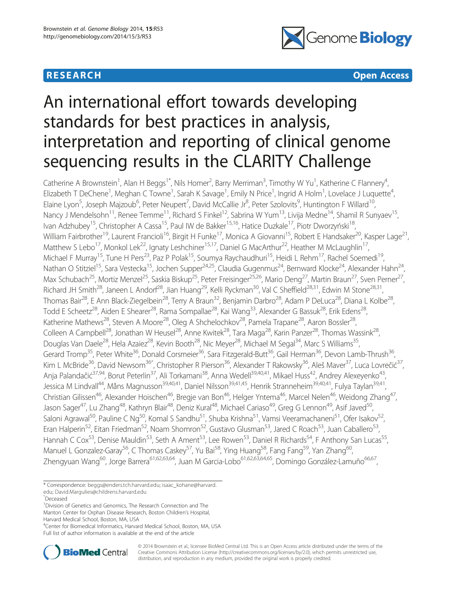

**RESEARCH CONSIDERED ACCESS CONSIDERED ACCESS** 

# An international effort towards developing standards for best practices in analysis, interpretation and reporting of clinical genome sequencing results in the CLARITY Challenge

Catherine A Brownstein<sup>1</sup>, Alan H Beggs<sup>1\*</sup>, Nils Homer<sup>2</sup>, Barry Merriman<sup>3</sup>, Timothy W Yu<sup>1</sup>, Katherine C Flannery<sup>4</sup> , Elizabeth T DeChene<sup>1</sup>, Meghan C Towne<sup>1</sup>, Sarah K Savage<sup>1</sup>, Emily N Price<sup>1</sup>, Ingrid A Holm<sup>1</sup>, Lovelace J Luquette<sup>4</sup> , Elaine Lyon<sup>5</sup>, Joseph Majzoub<sup>6</sup>, Peter Neupert<sup>7</sup>, David McCallie Jr<sup>8</sup>, Peter Szolovits<sup>9</sup>, Huntington F Willard<sup>10</sup>, Nancy J Mendelsohn<sup>11</sup>, Renee Temme<sup>11</sup>, Richard S Finkel<sup>12</sup>, Sabrina W Yum<sup>13</sup>, Livija Medne<sup>14</sup>, Shamil R Sunyaev<sup>15</sup>, Ivan Adzhubey<sup>15</sup>, Christopher A Cassa<sup>15</sup>, Paul IW de Bakker<sup>15,16</sup>, Hatice Duzkale<sup>17</sup>, Piotr Dworzyński<sup>18</sup>, William Fairbrother<sup>19</sup>, Laurent Francioli<sup>16</sup>, Birgit H Funke<sup>17</sup>, Monica A Giovanni<sup>15</sup>, Robert E Handsaker<sup>20</sup>, Kasper Lage<sup>21</sup>, Matthew S Lebo<sup>17</sup>, Monkol Lek<sup>22</sup>, Ignaty Leshchiner<sup>15,17</sup>, Daniel G MacArthur<sup>22</sup>, Heather M McLaughlin<sup>17</sup>, Michael F Murray<sup>15</sup>, Tune H Pers<sup>23</sup>, Paz P Polak<sup>15</sup>, Soumya Raychaudhuri<sup>15</sup>, Heidi L Rehm<sup>17</sup>, Rachel Soemedi<sup>19</sup>, Nathan O Stitziel<sup>15</sup>, Sara Vestecka<sup>15</sup>, Jochen Supper<sup>24,25</sup>, Claudia Gugenmus<sup>24</sup>, Bernward Klocke<sup>24</sup>, Alexander Hahn<sup>24</sup>, Max Schubach<sup>25</sup>, Mortiz Menzel<sup>25</sup>, Saskia Biskup<sup>25</sup>, Peter Freisinger<sup>25,26</sup>, Mario Deng<sup>27</sup>, Martin Braun<sup>27</sup>, Sven Perner<sup>27</sup>, Richard JH Smith<sup>28</sup>, Janeen L Andorf<sup>28</sup>, Jian Huang<sup>29</sup>, Kelli Ryckman<sup>30</sup>, Val C Sheffield<sup>28,31</sup>, Edwin M Stone<sup>28,31</sup>, Thomas Bair<sup>28</sup>, E Ann Black-Ziegelbein<sup>28</sup>, Terry A Braun<sup>32</sup>, Benjamin Darbro<sup>28</sup>, Adam P DeLuca<sup>28</sup>, Diana L Kolbe<sup>28</sup>, Todd E Scheetz<sup>28</sup>, Aiden E Shearer<sup>28</sup>, Rama Sompallae<sup>28</sup>, Kai Wang<sup>33</sup>, Alexander G Bassuk<sup>28</sup>, Erik Edens<sup>28</sup>, Katherine Mathews<sup>28</sup>, Steven A Moore<sup>28</sup>, Oleg A Shchelochkov<sup>28</sup>, Pamela Trapane<sup>28</sup>, Aaron Bossler<sup>28</sup>, Colleen A Campbell<sup>28</sup>, Jonathan W Heusel<sup>28</sup>, Anne Kwitek<sup>28</sup>, Tara Maga<sup>28</sup>, Karin Panzer<sup>28</sup>, Thomas Wassink<sup>28</sup>, Douglas Van Daele<sup>28</sup>, Hela Azaiez<sup>28</sup>, Kevin Booth<sup>28</sup>, Nic Meyer<sup>28</sup>, Michael M Segal<sup>34</sup>, Marc S Williams<sup>35</sup>, Gerard Tromp<sup>35</sup>, Peter White<sup>36</sup>, Donald Corsmeier<sup>36</sup>, Sara Fitzgerald-Butt<sup>36</sup>, Gail Herman<sup>36</sup>, Devon Lamb-Thrush<sup>36</sup>, Kim L McBride<sup>36</sup>, David Newsom<sup>36^</sup>, Christopher R Pierson<sup>36</sup>, Alexander T Rakowsky<sup>36</sup>, Aleš Maver<sup>37</sup>, Luca Lovrečić<sup>37</sup>, Anja Palandačić<sup>37,94</sup>, Borut Peterlin<sup>37</sup>, Ali Torkamani<sup>38</sup>, Anna Wedell<sup>39,40,41</sup>, Mikael Huss<sup>42</sup>, Andrey Alexeyenko<sup>43</sup>, Jessica M Lindvall<sup>44</sup>, Måns Magnusson<sup>39,40,41</sup>, Daniel Nilsson<sup>39,41,45</sup>, Henrik Stranneheim<sup>39,40,41</sup>, Fulya Taylan<sup>39,41</sup>, Christian Gilissen<sup>46</sup>, Alexander Hoischen<sup>46</sup>, Bregje van Bon<sup>46</sup>, Helger Yntema<sup>46</sup>, Marcel Nelen<sup>46</sup>, Weidong Zhang<sup>47</sup>, Jason Sager<sup>47</sup>, Lu Zhang<sup>48</sup>, Kathryn Blair<sup>48</sup>, Deniz Kural<sup>48</sup>, Michael Cariaso<sup>49</sup>, Greg G Lennon<sup>49</sup>, Asif Javed<sup>50</sup>, Saloni Agrawal<sup>50</sup>, Pauline C Ng<sup>50</sup>, Komal S Sandhu<sup>51</sup>, Shuba Krishna<sup>51</sup>, Vamsi Veeramachaneni<sup>51</sup>, Ofer Isakov<sup>52</sup>, Eran Halperin<sup>52</sup>, Eitan Friedman<sup>52</sup>, Noam Shomron<sup>52</sup>, Gustavo Glusman<sup>53</sup>, Jared C Roach<sup>53</sup>, Juan Caballero<sup>53</sup>, Hannah C Cox<sup>53</sup>, Denise Mauldin<sup>53</sup>, Seth A Ament<sup>53</sup>, Lee Rowen<sup>53</sup>, Daniel R Richards<sup>54</sup>, F Anthony San Lucas<sup>55</sup>, Manuel L Gonzalez-Garay<sup>56</sup>, C Thomas Caskey<sup>57</sup>, Yu Bai<sup>58</sup>, Ying Huang<sup>58</sup>, Fang Fang<sup>59</sup>, Yan Zhang<sup>60</sup>, Zhengyuan Wang<sup>60</sup>, Jorge Barrera<sup>61,62,63,64</sup>, Juan M Garcia-Lobo<sup>61,62,63,64,65</sup>, Domingo González-Lamuño<sup>66,67</sup>,

<sup>1</sup>Division of Genetics and Genomics, The Research Connection and The Manton Center for Orphan Disease Research, Boston Children's Hospital, Harvard Medical School, Boston, MA, USA

4 Center for Biomedical Informatics, Harvard Medical School, Boston, MA, USA Full list of author information is available at the end of the article



© 2014 Brownstein et al.; licensee BioMed Central Ltd. This is an Open Access article distributed under the terms of the Creative Commons Attribution License (<http://creativecommons.org/licenses/by/2.0>), which permits unrestricted use, distribution, and reproduction in any medium, provided the original work is properly credited.

<sup>\*</sup> Correspondence: [beggs@enders.tch.harvard.edu;](mailto:beggs@enders.tch.harvard.edu) [isaac\\_kohane@harvard.](mailto:isaac_kohane@harvard.edu) [edu;](mailto:isaac_kohane@harvard.edu) [David.Margulies@childrens.harvard.edu](mailto:David.Margulies@childrens.harvard.edu) <sup>ˆ</sup>Deceased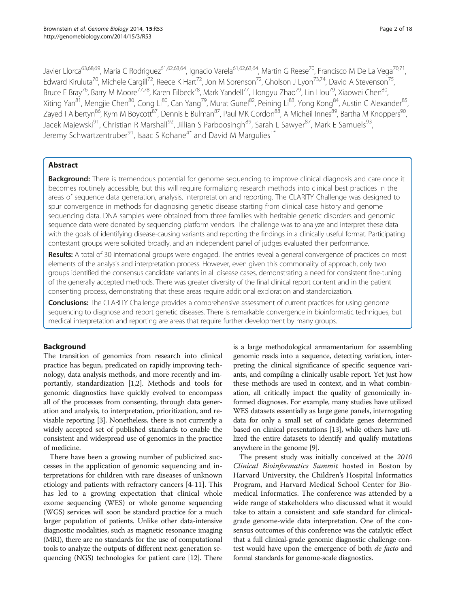Javier Llorca<sup>63,68,69</sup>, Maria C Rodriguez<sup>61,62,63,64</sup>, Ignacio Varela<sup>61,62,63,64</sup>, Martin G Reese<sup>70</sup>, Francisco M De La Vega<sup>70,71</sup>, Edward Kiruluta<sup>70</sup>, Michele Cargill<sup>72</sup>, Reece K Hart<sup>72</sup>, Jon M Sorenson<sup>72</sup>, Gholson J Lyon<sup>73,74</sup>, David A Stevenson<sup>75</sup>, Bruce E Bray<sup>76</sup>, Barry M Moore<sup>77,78</sup>, Karen Eilbeck<sup>78</sup>, Mark Yandell<sup>77</sup>, Hongyu Zhao<sup>79</sup>, Lin Hou<sup>79</sup>, Xiaowei Chen<sup>80</sup>, Xiting Yan<sup>81</sup>, Mengjie Chen<sup>80</sup>, Cong Li<sup>80</sup>, Can Yang<sup>79</sup>, Murat Gunel<sup>82</sup>, Peining Li<sup>83</sup>, Yong Kong<sup>84</sup>, Austin C Alexander<sup>85</sup>, Zayed I Albertyn<sup>86</sup>, Kym M Boycott<sup>87</sup>, Dennis E Bulman<sup>87</sup>, Paul MK Gordon<sup>88</sup>, A Micheil Innes<sup>89</sup>, Bartha M Knoppers<sup>90</sup>, Jacek Majewski<sup>91</sup>, Christian R Marshall<sup>92</sup>, Jillian S Parboosingh<sup>89</sup>, Sarah L Sawyer<sup>87</sup>, Mark E Samuels<sup>93</sup>, Jeremy Schwartzentruber<sup>91</sup>, Isaac S Kohane<sup>4\*</sup> and David M Margulies<sup>1\*</sup>

# Abstract

Background: There is tremendous potential for genome sequencing to improve clinical diagnosis and care once it becomes routinely accessible, but this will require formalizing research methods into clinical best practices in the areas of sequence data generation, analysis, interpretation and reporting. The CLARITY Challenge was designed to spur convergence in methods for diagnosing genetic disease starting from clinical case history and genome sequencing data. DNA samples were obtained from three families with heritable genetic disorders and genomic sequence data were donated by sequencing platform vendors. The challenge was to analyze and interpret these data with the goals of identifying disease-causing variants and reporting the findings in a clinically useful format. Participating contestant groups were solicited broadly, and an independent panel of judges evaluated their performance.

Results: A total of 30 international groups were engaged. The entries reveal a general convergence of practices on most elements of the analysis and interpretation process. However, even given this commonality of approach, only two groups identified the consensus candidate variants in all disease cases, demonstrating a need for consistent fine-tuning of the generally accepted methods. There was greater diversity of the final clinical report content and in the patient consenting process, demonstrating that these areas require additional exploration and standardization.

**Conclusions:** The CLARITY Challenge provides a comprehensive assessment of current practices for using genome sequencing to diagnose and report genetic diseases. There is remarkable convergence in bioinformatic techniques, but medical interpretation and reporting are areas that require further development by many groups.

# Background

The transition of genomics from research into clinical practice has begun, predicated on rapidly improving technology, data analysis methods, and more recently and importantly, standardization [[1,2](#page-15-0)]. Methods and tools for genomic diagnostics have quickly evolved to encompass all of the processes from consenting, through data generation and analysis, to interpretation, prioritization, and revisable reporting [[3\]](#page-15-0). Nonetheless, there is not currently a widely accepted set of published standards to enable the consistent and widespread use of genomics in the practice of medicine.

There have been a growing number of publicized successes in the application of genomic sequencing and interpretations for children with rare diseases of unknown etiology and patients with refractory cancers [[4-11](#page-15-0)]. This has led to a growing expectation that clinical whole exome sequencing (WES) or whole genome sequencing (WGS) services will soon be standard practice for a much larger population of patients. Unlike other data-intensive diagnostic modalities, such as magnetic resonance imaging (MRI), there are no standards for the use of computational tools to analyze the outputs of different next-generation sequencing (NGS) technologies for patient care [\[12\]](#page-15-0). There

is a large methodological armamentarium for assembling genomic reads into a sequence, detecting variation, interpreting the clinical significance of specific sequence variants, and compiling a clinically usable report. Yet just how these methods are used in context, and in what combination, all critically impact the quality of genomically informed diagnoses. For example, many studies have utilized WES datasets essentially as large gene panels, interrogating data for only a small set of candidate genes determined based on clinical presentations [\[13\]](#page-15-0), while others have utilized the entire datasets to identify and qualify mutations anywhere in the genome [\[9](#page-15-0)].

The present study was initially conceived at the 2010 Clinical Bioinformatics Summit hosted in Boston by Harvard University, the Children's Hospital Informatics Program, and Harvard Medical School Center for Biomedical Informatics. The conference was attended by a wide range of stakeholders who discussed what it would take to attain a consistent and safe standard for clinicalgrade genome-wide data interpretation. One of the consensus outcomes of this conference was the catalytic effect that a full clinical-grade genomic diagnostic challenge contest would have upon the emergence of both *de facto* and formal standards for genome-scale diagnostics.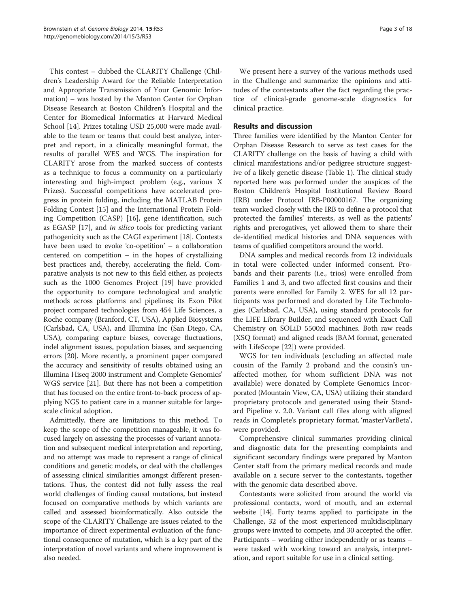This contest – dubbed the CLARITY Challenge (Children's Leadership Award for the Reliable Interpretation and Appropriate Transmission of Your Genomic Information) – was hosted by the Manton Center for Orphan Disease Research at Boston Children's Hospital and the Center for Biomedical Informatics at Harvard Medical School [\[14](#page-15-0)]. Prizes totaling USD 25,000 were made available to the team or teams that could best analyze, interpret and report, in a clinically meaningful format, the results of parallel WES and WGS. The inspiration for CLARITY arose from the marked success of contests as a technique to focus a community on a particularly interesting and high-impact problem (e.g., various X Prizes). Successful competitions have accelerated progress in protein folding, including the MATLAB Protein Folding Contest [[15\]](#page-15-0) and the International Protein Folding Competition (CASP) [\[16](#page-15-0)], gene identification, such as EGASP [[17\]](#page-15-0), and in silico tools for predicting variant pathogenicity such as the CAGI experiment [\[18\]](#page-15-0). Contests have been used to evoke 'co-opetition' – a collaboration centered on competition – in the hopes of crystallizing best practices and, thereby, accelerating the field. Comparative analysis is not new to this field either, as projects such as the 1000 Genomes Project [\[19](#page-15-0)] have provided the opportunity to compare technological and analytic methods across platforms and pipelines; its Exon Pilot project compared technologies from 454 Life Sciences, a Roche company (Branford, CT, USA), Applied Biosystems (Carlsbad, CA, USA), and Illumina Inc (San Diego, CA, USA), comparing capture biases, coverage fluctuations, indel alignment issues, population biases, and sequencing errors [\[20](#page-15-0)]. More recently, a prominent paper compared the accuracy and sensitivity of results obtained using an Illumina Hiseq 2000 instrument and Complete Genomics' WGS service [[21](#page-15-0)]. But there has not been a competition that has focused on the entire front-to-back process of applying NGS to patient care in a manner suitable for largescale clinical adoption.

Admittedly, there are limitations to this method. To keep the scope of the competition manageable, it was focused largely on assessing the processes of variant annotation and subsequent medical interpretation and reporting, and no attempt was made to represent a range of clinical conditions and genetic models, or deal with the challenges of assessing clinical similarities amongst different presentations. Thus, the contest did not fully assess the real world challenges of finding causal mutations, but instead focused on comparative methods by which variants are called and assessed bioinformatically. Also outside the scope of the CLARITY Challenge are issues related to the importance of direct experimental evaluation of the functional consequence of mutation, which is a key part of the interpretation of novel variants and where improvement is also needed.

We present here a survey of the various methods used in the Challenge and summarize the opinions and attitudes of the contestants after the fact regarding the practice of clinical-grade genome-scale diagnostics for clinical practice.

# Results and discussion

Three families were identified by the Manton Center for Orphan Disease Research to serve as test cases for the CLARITY challenge on the basis of having a child with clinical manifestations and/or pedigree structure suggestive of a likely genetic disease (Table [1](#page-3-0)). The clinical study reported here was performed under the auspices of the Boston Children's Hospital Institutional Review Board (IRB) under Protocol IRB-P00000167. The organizing team worked closely with the IRB to define a protocol that protected the families' interests, as well as the patients' rights and prerogatives, yet allowed them to share their de-identified medical histories and DNA sequences with teams of qualified competitors around the world.

DNA samples and medical records from 12 individuals in total were collected under informed consent. Probands and their parents (i.e., trios) were enrolled from Families 1 and 3, and two affected first cousins and their parents were enrolled for Family 2. WES for all 12 participants was performed and donated by Life Technologies (Carlsbad, CA, USA), using standard protocols for the LIFE Library Builder, and sequenced with Exact Call Chemistry on SOLiD 5500xl machines. Both raw reads (XSQ format) and aligned reads (BAM format, generated with LifeScope [\[22](#page-15-0)]) were provided.

WGS for ten individuals (excluding an affected male cousin of the Family 2 proband and the cousin's unaffected mother, for whom sufficient DNA was not available) were donated by Complete Genomics Incorporated (Mountain View, CA, USA) utilizing their standard proprietary protocols and generated using their Standard Pipeline v. 2.0. Variant call files along with aligned reads in Complete's proprietary format, 'masterVarBeta', were provided.

Comprehensive clinical summaries providing clinical and diagnostic data for the presenting complaints and significant secondary findings were prepared by Manton Center staff from the primary medical records and made available on a secure server to the contestants, together with the genomic data described above.

Contestants were solicited from around the world via professional contacts, word of mouth, and an external website [[14](#page-15-0)]. Forty teams applied to participate in the Challenge, 32 of the most experienced multidisciplinary groups were invited to compete, and 30 accepted the offer. Participants – working either independently or as teams – were tasked with working toward an analysis, interpretation, and report suitable for use in a clinical setting.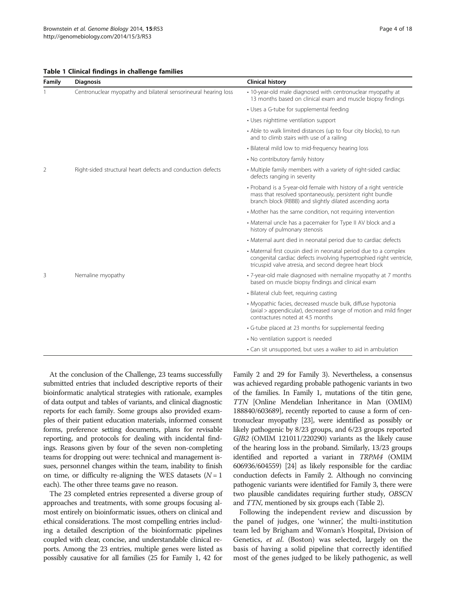<span id="page-3-0"></span>

|  |  |  |  |  | Table 1 Clinical findings in challenge families |  |
|--|--|--|--|--|-------------------------------------------------|--|
|--|--|--|--|--|-------------------------------------------------|--|

| Family | <b>Diagnosis</b>                                                | <b>Clinical history</b>                                                                                                                                                                          |
|--------|-----------------------------------------------------------------|--------------------------------------------------------------------------------------------------------------------------------------------------------------------------------------------------|
|        | Centronuclear myopathy and bilateral sensorineural hearing loss | • 10-year-old male diagnosed with centronuclear myopathy at<br>13 months based on clinical exam and muscle biopsy findings                                                                       |
|        |                                                                 | • Uses a G-tube for supplemental feeding                                                                                                                                                         |
|        |                                                                 | • Uses nighttime ventilation support                                                                                                                                                             |
|        |                                                                 | • Able to walk limited distances (up to four city blocks), to run<br>and to climb stairs with use of a railing                                                                                   |
|        |                                                                 | • Bilateral mild low to mid-frequency hearing loss                                                                                                                                               |
|        |                                                                 | • No contributory family history                                                                                                                                                                 |
| 2      | Right-sided structural heart defects and conduction defects     | • Multiple family members with a variety of right-sided cardiac<br>defects ranging in severity                                                                                                   |
|        |                                                                 | • Proband is a 5-year-old female with history of a right ventricle<br>mass that resolved spontaneously, persistent right bundle<br>branch block (RBBB) and slightly dilated ascending aorta      |
|        |                                                                 | • Mother has the same condition, not requiring intervention                                                                                                                                      |
|        |                                                                 | • Maternal uncle has a pacemaker for Type II AV block and a<br>history of pulmonary stenosis                                                                                                     |
|        |                                                                 | • Maternal aunt died in neonatal period due to cardiac defects                                                                                                                                   |
|        |                                                                 | • Maternal first cousin died in neonatal period due to a complex<br>congenital cardiac defects involving hypertrophied right ventricle<br>tricuspid valve atresia, and second degree heart block |
| 3      | Nemaline myopathy                                               | • 7-year-old male diagnosed with nemaline myopathy at 7 months<br>based on muscle biopsy findings and clinical exam                                                                              |
|        |                                                                 | · Bilateral club feet, requiring casting                                                                                                                                                         |
|        |                                                                 | • Myopathic facies, decreased muscle bulk, diffuse hypotonia<br>(axial > appendicular), decreased range of motion and mild finger<br>contractures noted at 4.5 months                            |
|        |                                                                 | • G-tube placed at 23 months for supplemental feeding                                                                                                                                            |
|        |                                                                 | • No ventilation support is needed                                                                                                                                                               |
|        |                                                                 | • Can sit unsupported, but uses a walker to aid in ambulation                                                                                                                                    |

At the conclusion of the Challenge, 23 teams successfully submitted entries that included descriptive reports of their bioinformatic analytical strategies with rationale, examples of data output and tables of variants, and clinical diagnostic reports for each family. Some groups also provided examples of their patient education materials, informed consent forms, preference setting documents, plans for revisable reporting, and protocols for dealing with incidental findings. Reasons given by four of the seven non-completing teams for dropping out were: technical and management issues, personnel changes within the team, inability to finish on time, or difficulty re-aligning the WES datasets  $(N = 1)$ each). The other three teams gave no reason.

The 23 completed entries represented a diverse group of approaches and treatments, with some groups focusing almost entirely on bioinformatic issues, others on clinical and ethical considerations. The most compelling entries including a detailed description of the bioinformatic pipelines coupled with clear, concise, and understandable clinical reports. Among the 23 entries, multiple genes were listed as possibly causative for all families (25 for Family 1, 42 for

Family 2 and 29 for Family 3). Nevertheless, a consensus was achieved regarding probable pathogenic variants in two of the families. In Family 1, mutations of the titin gene, TTN [Online Mendelian Inheritance in Man (OMIM) 188840/603689], recently reported to cause a form of centronuclear myopathy [[23](#page-15-0)], were identified as possibly or likely pathogenic by 8/23 groups, and 6/23 groups reported GJB2 (OMIM 121011/220290) variants as the likely cause of the hearing loss in the proband. Similarly, 13/23 groups identified and reported a variant in TRPM4 (OMIM 606936/604559) [\[24\]](#page-16-0) as likely responsible for the cardiac conduction defects in Family 2. Although no convincing pathogenic variants were identified for Family 3, there were two plausible candidates requiring further study, OBSCN and TTN, mentioned by six groups each (Table [2\)](#page-4-0).

Following the independent review and discussion by the panel of judges, one 'winner', the multi-institution team led by Brigham and Woman's Hospital, Division of Genetics, et al. (Boston) was selected, largely on the basis of having a solid pipeline that correctly identified most of the genes judged to be likely pathogenic, as well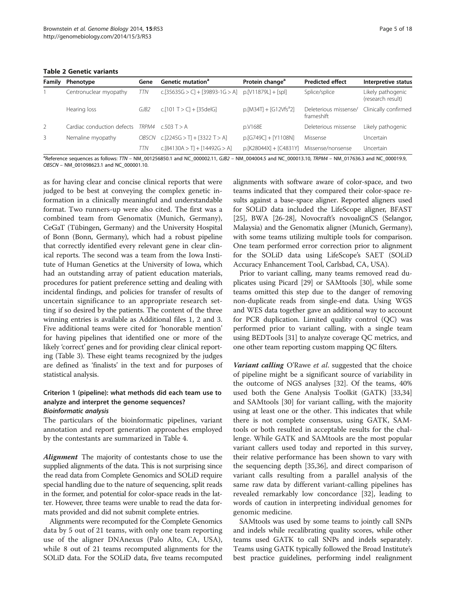<span id="page-4-0"></span>Table 2 Genetic variants

| Family        | Phenotype                  | Gene       | Genetic mutation <sup>a</sup>                         | Protein change <sup>a</sup> | <b>Predicted effect</b>             | Interpretive status                    |
|---------------|----------------------------|------------|-------------------------------------------------------|-----------------------------|-------------------------------------|----------------------------------------|
|               | Centronuclear myopathy     | <b>TTN</b> | $c.[35635G > C] + [39893-1G > A]$ p.[V11879L] + [spl] |                             | Splice/splice                       | Likely pathogenic<br>(research result) |
|               | Hearing loss               | GJB2       | c.[101 T > C] + [35delG]                              | $p.[M34T] + [G12Vfsa2]$     | Deleterious missense/<br>frameshift | Clinically confirmed                   |
| $\mathcal{L}$ | Cardiac conduction defects | TRPM4      | $c$ 503 T $> A$                                       | p.V168E                     | Deleterious missense                | Likely pathogenic                      |
| 3             | Nemaline myopathy          |            | OBSCN $c.[2245G > T] + [3322 T > A]$                  | $p.[G749C] + [Y1108N]$      | Missense                            | <b>Uncertain</b>                       |
|               |                            | TTN        | $C.[84130A > T] + [14492G > A]$                       | p. [K28044X] + [C4831Y]     | Missense/nonsense                   | Uncertain                              |

a Reference sequences as follows: TTN – NM\_001256850.1 and NC\_000002.11, GJB2 – NM\_004004.5 and NC\_000013.10, TRPM4 – NM\_017636.3 and NC\_000019.9, OBSCN – NM\_001098623.1 and NC\_000001.10.

as for having clear and concise clinical reports that were judged to be best at conveying the complex genetic information in a clinically meaningful and understandable format. Two runners-up were also cited. The first was a combined team from Genomatix (Munich, Germany), CeGaT (Tübingen, Germany) and the University Hospital of Bonn (Bonn, Germany), which had a robust pipeline that correctly identified every relevant gene in clear clinical reports. The second was a team from the Iowa Institute of Human Genetics at the University of Iowa, which had an outstanding array of patient education materials, procedures for patient preference setting and dealing with incidental findings, and policies for transfer of results of uncertain significance to an appropriate research setting if so desired by the patients. The content of the three winning entries is available as Additional files [1](#page-13-0), [2](#page-13-0) and [3](#page-13-0). Five additional teams were cited for 'honorable mention' for having pipelines that identified one or more of the likely 'correct' genes and for providing clear clinical reporting (Table [3](#page-5-0)). These eight teams recognized by the judges are defined as 'finalists' in the text and for purposes of statistical analysis.

# Criterion 1 (pipeline): what methods did each team use to analyze and interpret the genome sequences? Bioinformatic analysis

The particulars of the bioinformatic pipelines, variant annotation and report generation approaches employed by the contestants are summarized in Table [4.](#page-6-0)

Alignment The majority of contestants chose to use the supplied alignments of the data. This is not surprising since the read data from Complete Genomics and SOLiD require special handling due to the nature of sequencing, split reads in the former, and potential for color-space reads in the latter. However, three teams were unable to read the data formats provided and did not submit complete entries.

Alignments were recomputed for the Complete Genomics data by 5 out of 21 teams, with only one team reporting use of the aligner DNAnexus (Palo Alto, CA, USA), while 8 out of 21 teams recomputed alignments for the SOLiD data. For the SOLiD data, five teams recomputed

alignments with software aware of color-space, and two teams indicated that they compared their color-space results against a base-space aligner. Reported aligners used for SOLiD data included the LifeScope aligner, BFAST [[25](#page-16-0)], BWA [\[26](#page-16-0)-[28](#page-16-0)], Novocraft's novoalignCS (Selangor, Malaysia) and the Genomatix aligner (Munich, Germany), with some teams utilizing multiple tools for comparison. One team performed error correction prior to alignment for the SOLiD data using LifeScope's SAET (SOLiD Accuracy Enhancement Tool, Carlsbad, CA, USA).

Prior to variant calling, many teams removed read duplicates using Picard [\[29\]](#page-16-0) or SAMtools [\[30\]](#page-16-0), while some teams omitted this step due to the danger of removing non-duplicate reads from single-end data. Using WGS and WES data together gave an additional way to account for PCR duplication. Limited quality control (QC) was performed prior to variant calling, with a single team using BEDTools [[31](#page-16-0)] to analyze coverage QC metrics, and one other team reporting custom mapping QC filters.

Variant calling O'Rawe et al. suggested that the choice of pipeline might be a significant source of variability in the outcome of NGS analyses [\[32](#page-16-0)]. Of the teams, 40% used both the Gene Analysis Toolkit (GATK) [[33](#page-16-0),[34](#page-16-0)] and SAMtools [[30\]](#page-16-0) for variant calling, with the majority using at least one or the other. This indicates that while there is not complete consensus, using GATK, SAMtools or both resulted in acceptable results for the challenge. While GATK and SAMtools are the most popular variant callers used today and reported in this survey, their relative performance has been shown to vary with the sequencing depth [\[35,36](#page-16-0)], and direct comparison of variant calls resulting from a parallel analysis of the same raw data by different variant-calling pipelines has revealed remarkably low concordance [\[32\]](#page-16-0), leading to words of caution in interpreting individual genomes for genomic medicine.

SAMtools was used by some teams to jointly call SNPs and indels while recalibrating quality scores, while other teams used GATK to call SNPs and indels separately. Teams using GATK typically followed the Broad Institute's best practice guidelines, performing indel realignment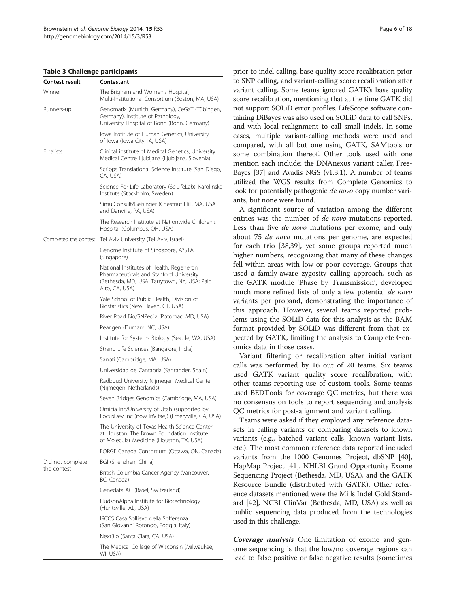#### <span id="page-5-0"></span>Table 3 Challenge participants

| Contest result        | Contestant                                                                                                                                            |  |  |
|-----------------------|-------------------------------------------------------------------------------------------------------------------------------------------------------|--|--|
| Winner                | The Brigham and Women's Hospital,<br>Multi-Institutional Consortium (Boston, MA, USA)                                                                 |  |  |
| Runners-up            | Genomatix (Munich, Germany), CeGaT (Tübingen,<br>Germany), Institute of Pathology,<br>University Hospital of Bonn (Bonn, Germany)                     |  |  |
|                       | lowa Institute of Human Genetics, University<br>of Iowa (Iowa City, IA, USA)                                                                          |  |  |
| <b>Finalists</b>      | Clinical institute of Medical Genetics, University<br>Medical Centre Ljubljana (Ljubljana, Slovenia)                                                  |  |  |
|                       | Scripps Translational Science Institute (San Diego,<br>CA, USA)                                                                                       |  |  |
|                       | Science For Life Laboratory (SciLifeLab), Karolinska<br>Institute (Stockholm, Sweden)                                                                 |  |  |
|                       | SimulConsult/Geisinger (Chestnut Hill, MA, USA<br>and Danville, PA, USA)                                                                              |  |  |
|                       | The Research Institute at Nationwide Children's<br>Hospital (Columbus, OH, USA)                                                                       |  |  |
| Completed the contest | Tel Aviv University (Tel Aviv, Israel)                                                                                                                |  |  |
|                       | Genome Institute of Singapore, A*STAR<br>(Singapore)                                                                                                  |  |  |
|                       | National Institutes of Health, Regeneron<br>Pharmaceuticals and Stanford University<br>(Bethesda, MD, USA; Tarrytown, NY, USA; Palo<br>Alto, CA, USA) |  |  |
|                       | Yale School of Public Health, Division of<br>Biostatistics (New Haven, CT, USA)                                                                       |  |  |
|                       | River Road Bio/SNPedia (Potomac, MD, USA)                                                                                                             |  |  |
|                       | Pearlgen (Durham, NC, USA)                                                                                                                            |  |  |
|                       | Institute for Systems Biology (Seattle, WA, USA)                                                                                                      |  |  |
|                       | Strand Life Sciences (Bangalore, India)                                                                                                               |  |  |
|                       | Sanofi (Cambridge, MA, USA)                                                                                                                           |  |  |
|                       | Universidad de Cantabria (Santander, Spain)                                                                                                           |  |  |
|                       | Radboud University Nijmegen Medical Center<br>(Nijmegen, Netherlands)                                                                                 |  |  |
|                       | Seven Bridges Genomics (Cambridge, MA, USA)                                                                                                           |  |  |
|                       | Omicia Inc/University of Utah (supported by<br>LocusDev Inc (now InVitae)) (Emeryville, CA, USA)                                                      |  |  |
|                       | The University of Texas Health Science Center<br>at Houston, The Brown Foundation Institute<br>of Molecular Medicine (Houston, TX, USA)               |  |  |
|                       | FORGE Canada Consortium (Ottawa, ON, Canada)                                                                                                          |  |  |
| Did not complete      | BGI (Shenzhen, China)                                                                                                                                 |  |  |
| the contest           | British Columbia Cancer Agency (Vancouver,<br>BC, Canada)                                                                                             |  |  |
|                       | Genedata AG (Basel, Switzerland)                                                                                                                      |  |  |
|                       | HudsonAlpha Institute for Biotechnology<br>(Huntsville, AL, USA)                                                                                      |  |  |
|                       | IRCCS Casa Sollievo della Sofferenza<br>(San Giovanni Rotondo, Foggia, Italy)                                                                         |  |  |
|                       | NextBio (Santa Clara, CA, USA)                                                                                                                        |  |  |
|                       | The Medical College of Wisconsin (Milwaukee,<br>WI, USA)                                                                                              |  |  |

prior to indel calling, base quality score recalibration prior to SNP calling, and variant-calling score recalibration after variant calling. Some teams ignored GATK's base quality score recalibration, mentioning that at the time GATK did not support SOLiD error profiles. LifeScope software containing DiBayes was also used on SOLiD data to call SNPs, and with local realignment to call small indels. In some cases, multiple variant-calling methods were used and compared, with all but one using GATK, SAMtools or some combination thereof. Other tools used with one mention each include: the DNAnexus variant caller, Free-Bayes [\[37\]](#page-16-0) and Avadis NGS (v1.3.1). A number of teams utilized the WGS results from Complete Genomics to look for potentially pathogenic de novo copy number variants, but none were found.

A significant source of variation among the different entries was the number of de novo mutations reported. Less than five de novo mutations per exome, and only about 75 de novo mutations per genome, are expected for each trio [\[38,39](#page-16-0)], yet some groups reported much higher numbers, recognizing that many of these changes fell within areas with low or poor coverage. Groups that used a family-aware zygosity calling approach, such as the GATK module 'Phase by Transmission', developed much more refined lists of only a few potential de novo variants per proband, demonstrating the importance of this approach. However, several teams reported problems using the SOLiD data for this analysis as the BAM format provided by SOLiD was different from that expected by GATK, limiting the analysis to Complete Genomics data in those cases.

Variant filtering or recalibration after initial variant calls was performed by 16 out of 20 teams. Six teams used GATK variant quality score recalibration, with other teams reporting use of custom tools. Some teams used BEDTools for coverage QC metrics, but there was no consensus on tools to report sequencing and analysis QC metrics for post-alignment and variant calling.

Teams were asked if they employed any reference datasets in calling variants or comparing datasets to known variants (e.g., batched variant calls, known variant lists, etc.). The most common reference data reported included variants from the 1000 Genomes Project, dbSNP [[40](#page-16-0)], HapMap Project [\[41\]](#page-16-0), NHLBI Grand Opportunity Exome Sequencing Project (Bethesda, MD, USA), and the GATK Resource Bundle (distributed with GATK). Other reference datasets mentioned were the Mills Indel Gold Standard [[42](#page-16-0)], NCBI ClinVar (Bethesda, MD, USA) as well as public sequencing data produced from the technologies used in this challenge.

**Coverage analysis** One limitation of exome and genome sequencing is that the low/no coverage regions can lead to false positive or false negative results (sometimes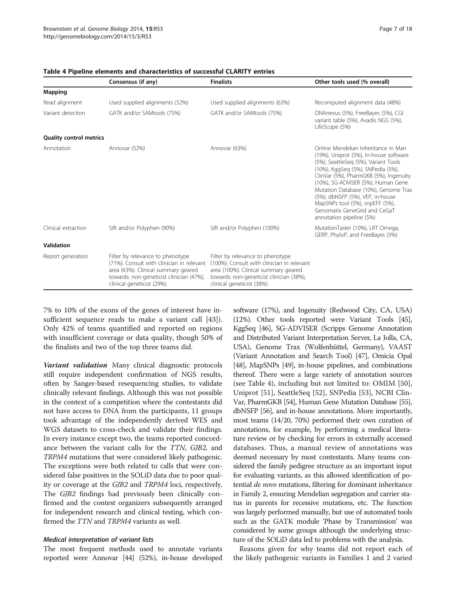|                                | Consensus (if any)                                                                                                                                                                             | <b>Finalists</b>                                                                                                                                                                                 | Other tools used (% overall)                                                                                                                                                                                                                                                                                                                                                                                          |
|--------------------------------|------------------------------------------------------------------------------------------------------------------------------------------------------------------------------------------------|--------------------------------------------------------------------------------------------------------------------------------------------------------------------------------------------------|-----------------------------------------------------------------------------------------------------------------------------------------------------------------------------------------------------------------------------------------------------------------------------------------------------------------------------------------------------------------------------------------------------------------------|
| Mapping                        |                                                                                                                                                                                                |                                                                                                                                                                                                  |                                                                                                                                                                                                                                                                                                                                                                                                                       |
| Read alignment                 | Used supplied alignments (52%)                                                                                                                                                                 | Used supplied alignments (63%)                                                                                                                                                                   | Recomputed alignment data (48%)                                                                                                                                                                                                                                                                                                                                                                                       |
| Variant detection              | GATK and/or SAMtools (75%)                                                                                                                                                                     | GATK and/or SAMtools (75%)                                                                                                                                                                       | DNAnexus (5%), FreeBayes (5%), CGI<br>variant table (5%), Avadis NGS (5%),<br>LifeScope (5%)                                                                                                                                                                                                                                                                                                                          |
| <b>Quality control metrics</b> |                                                                                                                                                                                                |                                                                                                                                                                                                  |                                                                                                                                                                                                                                                                                                                                                                                                                       |
| Annotation                     | Annovar (52%)                                                                                                                                                                                  | Annovar (63%)                                                                                                                                                                                    | Online Mendelian Inheritance in Man<br>(19%), Uniprot (5%), in-house software<br>(5%), SeattleSeg (5%), Variant Tools<br>(10%), KggSeg (5%), SNPedia (5%),<br>ClinVar (5%), PharmGKB (5%), Ingenuity<br>(10%), SG-ADVISER (5%), Human Gene<br>Mutation Database (10%), Genome Trax<br>(5%), dbNSFP (5%), VEP, in-house<br>MapSNPs tool (5%), snpEFF (5%),<br>Genomatix GeneGrid and CeGaT<br>annotation pipeline (5%) |
| Clinical extraction            | Sift and/or Polyphen (90%)                                                                                                                                                                     | Sift and/or Polyphen (100%)                                                                                                                                                                      | MutationTaster (10%), LRT Omega,<br>GERP, PhyloP, and FreeBayes (5%)                                                                                                                                                                                                                                                                                                                                                  |
| Validation                     |                                                                                                                                                                                                |                                                                                                                                                                                                  |                                                                                                                                                                                                                                                                                                                                                                                                                       |
| Report generation              | Filter by relevance to phenotype<br>(71%). Consult with clinician in relevant<br>area (63%). Clinical summary geared<br>towards: non-geneticist clinician (47%),<br>clinical geneticist (29%). | Filter by relevance to phenotype<br>(100%). Consult with clinician in relevant<br>area (100%). Clinical summary geared<br>towards: non-geneticist clinician (38%),<br>clinical geneticist (38%). |                                                                                                                                                                                                                                                                                                                                                                                                                       |

#### <span id="page-6-0"></span>Table 4 Pipeline elements and characteristics of successful CLARITY entries

7% to 10% of the exons of the genes of interest have insufficient sequence reads to make a variant call [\[43](#page-16-0)]). Only 42% of teams quantified and reported on regions with insufficient coverage or data quality, though 50% of the finalists and two of the top three teams did.

Variant validation Many clinical diagnostic protocols still require independent confirmation of NGS results, often by Sanger-based resequencing studies, to validate clinically relevant findings. Although this was not possible in the context of a competition where the contestants did not have access to DNA from the participants, 11 groups took advantage of the independently derived WES and WGS datasets to cross-check and validate their findings. In every instance except two, the teams reported concordance between the variant calls for the TTN, GJB2, and TRPM4 mutations that were considered likely pathogenic. The exceptions were both related to calls that were considered false positives in the SOLiD data due to poor quality or coverage at the GJB2 and TRPM4 loci, respectively. The GJB2 findings had previously been clinically confirmed and the contest organizers subsequently arranged for independent research and clinical testing, which confirmed the TTN and TRPM4 variants as well.

#### Medical interpretation of variant lists

The most frequent methods used to annotate variants reported were Annovar [\[44\]](#page-16-0) (52%), in-house developed software (17%), and Ingenuity (Redwood City, CA, USA) (12%). Other tools reported were Variant Tools [\[45](#page-16-0)], KggSeq [[46](#page-16-0)], SG-ADVISER (Scripps Genome Annotation and Distributed Variant Interpretation Server, La Jolla, CA, USA), Genome Trax (Wolfenbüttel, Germany), VAAST (Variant Annotation and Search Tool) [\[47\]](#page-16-0), Omicia Opal [[48](#page-16-0)], MapSNPs [\[49\]](#page-16-0), in-house pipelines, and combinations thereof. There were a large variety of annotation sources (see Table 4), including but not limited to: OMIM [\[50](#page-16-0)], Uniprot [[51](#page-16-0)], SeattleSeq [[52\]](#page-16-0), SNPedia [[53\]](#page-16-0), NCBI Clin-Var, PharmGKB [[54\]](#page-16-0), Human Gene Mutation Database [\[55\]](#page-16-0), dbNSFP [\[56\]](#page-16-0), and in-house annotations. More importantly, most teams (14/20, 70%) performed their own curation of annotations, for example, by performing a medical literature review or by checking for errors in externally accessed databases. Thus, a manual review of annotations was deemed necessary by most contestants. Many teams considered the family pedigree structure as an important input for evaluating variants, as this allowed identification of potential *de novo* mutations, filtering for dominant inheritance in Family 2, ensuring Mendelian segregation and carrier status in parents for recessive mutations, etc. The function was largely performed manually, but use of automated tools such as the GATK module 'Phase by Transmission' was considered by some groups although the underlying structure of the SOLiD data led to problems with the analysis.

Reasons given for why teams did not report each of the likely pathogenic variants in Families 1 and 2 varied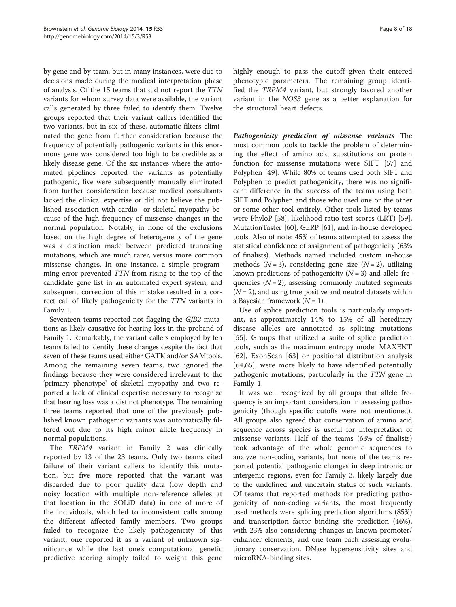by gene and by team, but in many instances, were due to decisions made during the medical interpretation phase of analysis. Of the 15 teams that did not report the TTN variants for whom survey data were available, the variant calls generated by three failed to identify them. Twelve groups reported that their variant callers identified the two variants, but in six of these, automatic filters eliminated the gene from further consideration because the frequency of potentially pathogenic variants in this enormous gene was considered too high to be credible as a likely disease gene. Of the six instances where the automated pipelines reported the variants as potentially pathogenic, five were subsequently manually eliminated from further consideration because medical consultants lacked the clinical expertise or did not believe the published association with cardio- or skeletal-myopathy because of the high frequency of missense changes in the normal population. Notably, in none of the exclusions based on the high degree of heterogeneity of the gene was a distinction made between predicted truncating mutations, which are much rarer, versus more common missense changes. In one instance, a simple programming error prevented TTN from rising to the top of the candidate gene list in an automated expert system, and subsequent correction of this mistake resulted in a correct call of likely pathogenicity for the TTN variants in Family 1.

Seventeen teams reported not flagging the GJB2 mutations as likely causative for hearing loss in the proband of Family 1. Remarkably, the variant callers employed by ten teams failed to identify these changes despite the fact that seven of these teams used either GATK and/or SAMtools. Among the remaining seven teams, two ignored the findings because they were considered irrelevant to the 'primary phenotype' of skeletal myopathy and two reported a lack of clinical expertise necessary to recognize that hearing loss was a distinct phenotype. The remaining three teams reported that one of the previously published known pathogenic variants was automatically filtered out due to its high minor allele frequency in normal populations.

The TRPM4 variant in Family 2 was clinically reported by 13 of the 23 teams. Only two teams cited failure of their variant callers to identify this mutation, but five more reported that the variant was discarded due to poor quality data (low depth and noisy location with multiple non-reference alleles at that location in the SOLiD data) in one of more of the individuals, which led to inconsistent calls among the different affected family members. Two groups failed to recognize the likely pathogenicity of this variant; one reported it as a variant of unknown significance while the last one's computational genetic predictive scoring simply failed to weight this gene highly enough to pass the cutoff given their entered phenotypic parameters. The remaining group identified the TRPM4 variant, but strongly favored another variant in the NOS3 gene as a better explanation for the structural heart defects.

Pathogenicity prediction of missense variants The most common tools to tackle the problem of determining the effect of amino acid substitutions on protein function for missense mutations were SIFT [[57\]](#page-16-0) and Polyphen [\[49](#page-16-0)]. While 80% of teams used both SIFT and Polyphen to predict pathogenicity, there was no significant difference in the success of the teams using both SIFT and Polyphen and those who used one or the other or some other tool entirely. Other tools listed by teams were PhyloP [\[58](#page-16-0)], likelihood ratio test scores (LRT) [\[59](#page-16-0)], MutationTaster [\[60](#page-16-0)], GERP [[61\]](#page-16-0), and in-house developed tools. Also of note: 45% of teams attempted to assess the statistical confidence of assignment of pathogenicity (63% of finalists). Methods named included custom in-house methods ( $N = 3$ ), considering gene size ( $N = 2$ ), utilizing known predictions of pathogenicity  $(N = 3)$  and allele frequencies  $(N = 2)$ , assessing commonly mutated segments  $(N = 2)$ , and using true positive and neutral datasets within a Bayesian framework  $(N = 1)$ .

Use of splice prediction tools is particularly important, as approximately 14% to 15% of all hereditary disease alleles are annotated as splicing mutations [[55\]](#page-16-0). Groups that utilized a suite of splice prediction tools, such as the maximum entropy model MAXENT [[62\]](#page-16-0), ExonScan [[63\]](#page-16-0) or positional distribution analysis [[64,65](#page-16-0)], were more likely to have identified potentially pathogenic mutations, particularly in the TTN gene in Family 1.

It was well recognized by all groups that allele frequency is an important consideration in assessing pathogenicity (though specific cutoffs were not mentioned). All groups also agreed that conservation of amino acid sequence across species is useful for interpretation of missense variants. Half of the teams (63% of finalists) took advantage of the whole genomic sequences to analyze non-coding variants, but none of the teams reported potential pathogenic changes in deep intronic or intergenic regions, even for Family 3, likely largely due to the undefined and uncertain status of such variants. Of teams that reported methods for predicting pathogenicity of non-coding variants, the most frequently used methods were splicing prediction algorithms (85%) and transcription factor binding site prediction (46%), with 23% also considering changes in known promoter/ enhancer elements, and one team each assessing evolutionary conservation, DNase hypersensitivity sites and microRNA-binding sites.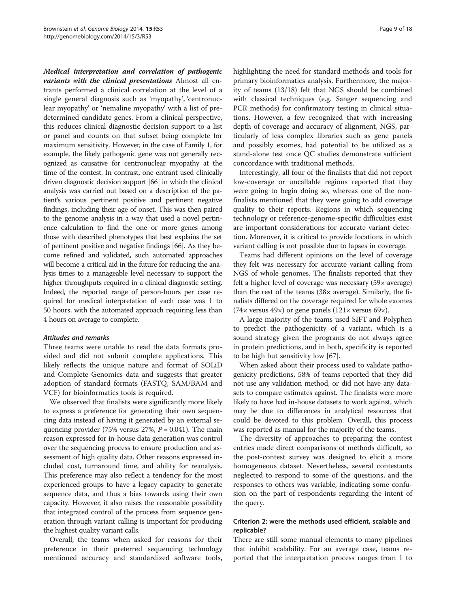Medical interpretation and correlation of pathogenic variants with the clinical presentations Almost all entrants performed a clinical correlation at the level of a single general diagnosis such as 'myopathy', 'centronuclear myopathy' or 'nemaline myopathy' with a list of predetermined candidate genes. From a clinical perspective, this reduces clinical diagnostic decision support to a list or panel and counts on that subset being complete for maximum sensitivity. However, in the case of Family 1, for example, the likely pathogenic gene was not generally recognized as causative for centronuclear myopathy at the time of the contest. In contrast, one entrant used clinically driven diagnostic decision support [\[66](#page-16-0)] in which the clinical analysis was carried out based on a description of the patient's various pertinent positive and pertinent negative findings, including their age of onset. This was then paired to the genome analysis in a way that used a novel pertinence calculation to find the one or more genes among those with described phenotypes that best explains the set of pertinent positive and negative findings [[66](#page-16-0)]. As they become refined and validated, such automated approaches will become a critical aid in the future for reducing the analysis times to a manageable level necessary to support the higher throughputs required in a clinical diagnostic setting. Indeed, the reported range of person-hours per case required for medical interpretation of each case was 1 to 50 hours, with the automated approach requiring less than 4 hours on average to complete.

#### Attitudes and remarks

Three teams were unable to read the data formats provided and did not submit complete applications. This likely reflects the unique nature and format of SOLiD and Complete Genomics data and suggests that greater adoption of standard formats (FASTQ, SAM/BAM and VCF) for bioinformatics tools is required.

We observed that finalists were significantly more likely to express a preference for generating their own sequencing data instead of having it generated by an external sequencing provider (75% versus 27%,  $P = 0.041$ ). The main reason expressed for in-house data generation was control over the sequencing process to ensure production and assessment of high quality data. Other reasons expressed included cost, turnaround time, and ability for reanalysis. This preference may also reflect a tendency for the most experienced groups to have a legacy capacity to generate sequence data, and thus a bias towards using their own capacity. However, it also raises the reasonable possibility that integrated control of the process from sequence generation through variant calling is important for producing the highest quality variant calls.

Overall, the teams when asked for reasons for their preference in their preferred sequencing technology mentioned accuracy and standardized software tools,

highlighting the need for standard methods and tools for primary bioinformatics analysis. Furthermore, the majority of teams (13/18) felt that NGS should be combined with classical techniques (e.g. Sanger sequencing and PCR methods) for confirmatory testing in clinical situations. However, a few recognized that with increasing depth of coverage and accuracy of alignment, NGS, particularly of less complex libraries such as gene panels and possibly exomes, had potential to be utilized as a stand-alone test once QC studies demonstrate sufficient concordance with traditional methods.

Interestingly, all four of the finalists that did not report low-coverage or uncallable regions reported that they were going to begin doing so, whereas one of the nonfinalists mentioned that they were going to add coverage quality to their reports. Regions in which sequencing technology or reference-genome-specific difficulties exist are important considerations for accurate variant detection. Moreover, it is critical to provide locations in which variant calling is not possible due to lapses in coverage.

Teams had different opinions on the level of coverage they felt was necessary for accurate variant calling from NGS of whole genomes. The finalists reported that they felt a higher level of coverage was necessary (59× average) than the rest of the teams (38× average). Similarly, the finalists differed on the coverage required for whole exomes (74 $\times$  versus 49 $\times$ ) or gene panels (121 $\times$  versus 69 $\times$ ).

A large majority of the teams used SIFT and Polyphen to predict the pathogenicity of a variant, which is a sound strategy given the programs do not always agree in protein predictions, and in both, specificity is reported to be high but sensitivity low [[67\]](#page-16-0).

When asked about their process used to validate pathogenicity predictions, 58% of teams reported that they did not use any validation method, or did not have any datasets to compare estimates against. The finalists were more likely to have had in-house datasets to work against, which may be due to differences in analytical resources that could be devoted to this problem. Overall, this process was reported as manual for the majority of the teams.

The diversity of approaches to preparing the contest entries made direct comparisons of methods difficult, so the post-contest survey was designed to elicit a more homogeneous dataset. Nevertheless, several contestants neglected to respond to some of the questions, and the responses to others was variable, indicating some confusion on the part of respondents regarding the intent of the query.

# Criterion 2: were the methods used efficient, scalable and replicable?

There are still some manual elements to many pipelines that inhibit scalability. For an average case, teams reported that the interpretation process ranges from 1 to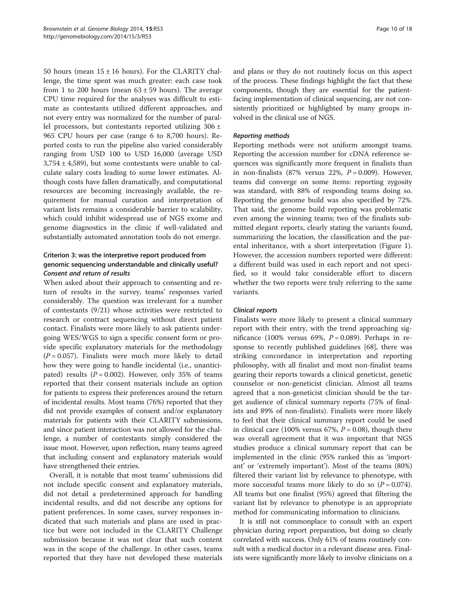50 hours (mean  $15 \pm 16$  hours). For the CLARITY challenge, the time spent was much greater: each case took from 1 to 200 hours (mean  $63 \pm 59$  hours). The average CPU time required for the analyses was difficult to estimate as contestants utilized different approaches, and not every entry was normalized for the number of parallel processors, but contestants reported utilizing  $306 \pm$ 965 CPU hours per case (range 6 to 8,700 hours). Reported costs to run the pipeline also varied considerably ranging from USD 100 to USD 16,000 (average USD  $3,754 \pm 4,589$ , but some contestants were unable to calculate salary costs leading to some lower estimates. Although costs have fallen dramatically, and computational resources are becoming increasingly available, the requirement for manual curation and interpretation of variant lists remains a considerable barrier to scalability, which could inhibit widespread use of NGS exome and genome diagnostics in the clinic if well-validated and substantially automated annotation tools do not emerge.

# Criterion 3: was the interpretive report produced from genomic sequencing understandable and clinically useful? Consent and return of results

When asked about their approach to consenting and return of results in the survey, teams' responses varied considerably. The question was irrelevant for a number of contestants (9/21) whose activities were restricted to research or contract sequencing without direct patient contact. Finalists were more likely to ask patients undergoing WES/WGS to sign a specific consent form or provide specific explanatory materials for the methodology  $(P = 0.057)$ . Finalists were much more likely to detail how they were going to handle incidental (i.e., unanticipated) results  $(P = 0.002)$ . However, only 35% of teams reported that their consent materials include an option for patients to express their preferences around the return of incidental results. Most teams (76%) reported that they did not provide examples of consent and/or explanatory materials for patients with their CLARITY submissions, and since patient interaction was not allowed for the challenge, a number of contestants simply considered the issue moot. However, upon reflection, many teams agreed that including consent and explanatory materials would have strengthened their entries.

Overall, it is notable that most teams' submissions did not include specific consent and explanatory materials, did not detail a predetermined approach for handling incidental results, and did not describe any options for patient preferences. In some cases, survey responses indicated that such materials and plans are used in practice but were not included in the CLARITY Challenge submission because it was not clear that such content was in the scope of the challenge. In other cases, teams reported that they have not developed these materials and plans or they do not routinely focus on this aspect of the process. These findings highlight the fact that these components, though they are essential for the patientfacing implementation of clinical sequencing, are not consistently prioritized or highlighted by many groups involved in the clinical use of NGS.

#### Reporting methods

Reporting methods were not uniform amongst teams. Reporting the accession number for cDNA reference sequences was significantly more frequent in finalists than in non-finalists (87% versus 22%,  $P = 0.009$ ). However, teams did converge on some items: reporting zygosity was standard, with 88% of responding teams doing so. Reporting the genome build was also specified by 72%. That said, the genome build reporting was problematic even among the winning teams; two of the finalists submitted elegant reports, clearly stating the variants found, summarizing the location, the classification and the parental inheritance, with a short interpretation (Figure [1](#page-10-0)). However, the accession numbers reported were different: a different build was used in each report and not specified, so it would take considerable effort to discern whether the two reports were truly referring to the same variants.

#### Clinical reports

Finalists were more likely to present a clinical summary report with their entry, with the trend approaching significance (100% versus 69%,  $P = 0.089$ ). Perhaps in response to recently published guidelines [[68](#page-16-0)], there was striking concordance in interpretation and reporting philosophy, with all finalist and most non-finalist teams gearing their reports towards a clinical geneticist, genetic counselor or non-geneticist clinician. Almost all teams agreed that a non-geneticist clinician should be the target audience of clinical summary reports (75% of finalists and 89% of non-finalists). Finalists were more likely to feel that their clinical summary report could be used in clinical care (100% versus 67%,  $P = 0.08$ ), though there was overall agreement that it was important that NGS studies produce a clinical summary report that can be implemented in the clinic (95% ranked this as 'important' or 'extremely important'). Most of the teams (80%) filtered their variant list by relevance to phenotype, with more successful teams more likely to do so  $(P = 0.074)$ . All teams but one finalist (95%) agreed that filtering the variant list by relevance to phenotype is an appropriate method for communicating information to clinicians.

It is still not commonplace to consult with an expert physician during report preparation, but doing so clearly correlated with success. Only 61% of teams routinely consult with a medical doctor in a relevant disease area. Finalists were significantly more likely to involve clinicians on a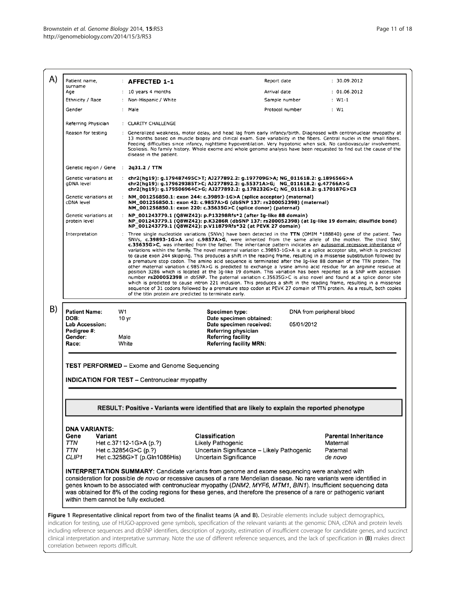<span id="page-10-0"></span>

| surname                                                                                  | $P$ AFFECTED 1-1                                                                                           | Report date                                                                                                                                                                                                                                                                                                                                                                                                                                                                                                                                                                                                                                                                                                                                                                                                                                                                                                                                                                                                                                                                                                                                                                                                                                                                                                                                                                                     |                 | : 30.09.2012                |
|------------------------------------------------------------------------------------------|------------------------------------------------------------------------------------------------------------|-------------------------------------------------------------------------------------------------------------------------------------------------------------------------------------------------------------------------------------------------------------------------------------------------------------------------------------------------------------------------------------------------------------------------------------------------------------------------------------------------------------------------------------------------------------------------------------------------------------------------------------------------------------------------------------------------------------------------------------------------------------------------------------------------------------------------------------------------------------------------------------------------------------------------------------------------------------------------------------------------------------------------------------------------------------------------------------------------------------------------------------------------------------------------------------------------------------------------------------------------------------------------------------------------------------------------------------------------------------------------------------------------|-----------------|-----------------------------|
| Age                                                                                      | $: 10$ years 4 months                                                                                      | Arrival date                                                                                                                                                                                                                                                                                                                                                                                                                                                                                                                                                                                                                                                                                                                                                                                                                                                                                                                                                                                                                                                                                                                                                                                                                                                                                                                                                                                    |                 | : 01.06.2012                |
| Ethnicity / Race                                                                         | : Non-Hispanic / White                                                                                     |                                                                                                                                                                                                                                                                                                                                                                                                                                                                                                                                                                                                                                                                                                                                                                                                                                                                                                                                                                                                                                                                                                                                                                                                                                                                                                                                                                                                 | Sample number   | $: W1-1$                    |
| Gender                                                                                   | : Male                                                                                                     |                                                                                                                                                                                                                                                                                                                                                                                                                                                                                                                                                                                                                                                                                                                                                                                                                                                                                                                                                                                                                                                                                                                                                                                                                                                                                                                                                                                                 | Protocol number | : W1                        |
|                                                                                          |                                                                                                            |                                                                                                                                                                                                                                                                                                                                                                                                                                                                                                                                                                                                                                                                                                                                                                                                                                                                                                                                                                                                                                                                                                                                                                                                                                                                                                                                                                                                 |                 |                             |
| Referring Physician                                                                      | : CLARITY CHALLENGE                                                                                        |                                                                                                                                                                                                                                                                                                                                                                                                                                                                                                                                                                                                                                                                                                                                                                                                                                                                                                                                                                                                                                                                                                                                                                                                                                                                                                                                                                                                 |                 |                             |
| Reason for testing                                                                       | disease in the patient.                                                                                    | : Generalized weakness, motor delay, and head lag from early infancy/birth. Diagnosed with centronuclear myopathy at<br>13 months based on muscle biopsy and clinical exam. Size variability in the fibers. Central nuclei in the small fibers.<br>Feeding difficulties since infancy, nighttime hypoventilation. Very hypotonic when sick. No cardiovascular involvement.<br>Scoliosis. No family history. Whole exome and whole genome analysis have been requested to find out the cause of the                                                                                                                                                                                                                                                                                                                                                                                                                                                                                                                                                                                                                                                                                                                                                                                                                                                                                              |                 |                             |
| Genetic region / Gene : 2q31.2 / TTN                                                     |                                                                                                            |                                                                                                                                                                                                                                                                                                                                                                                                                                                                                                                                                                                                                                                                                                                                                                                                                                                                                                                                                                                                                                                                                                                                                                                                                                                                                                                                                                                                 |                 |                             |
| Genetic variations at<br>gDNA level                                                      |                                                                                                            | : chr2(hg19): g.179487495C>T; AJ277892.2: g.197709G>A; NG_011618.2: g.189656G>A<br>chr2(hg19): g.179629385T>C; AJ277892.2: g.55371A>G; NG_011618.2: g.47766A>G<br>chr2(hg19): g.179506964C>G; AJ277892.2: g.178232G>C; NG_011618.2: g.170187G>C3                                                                                                                                                                                                                                                                                                                                                                                                                                                                                                                                                                                                                                                                                                                                                                                                                                                                                                                                                                                                                                                                                                                                                |                 |                             |
| Genetic variations at<br>cDNA level                                                      |                                                                                                            | : NM_001256850.1: exon 244: c.39893-1G>A (splice acceptor) (maternal)<br>NM_001256850.1: exon 42: c.9857A>G (dbSNP 137: rs200052398) (maternal)<br>NM_001256850.1: exon 220: c.35635G>C (splice donor) (paternal)                                                                                                                                                                                                                                                                                                                                                                                                                                                                                                                                                                                                                                                                                                                                                                                                                                                                                                                                                                                                                                                                                                                                                                               |                 |                             |
| Genetic variations at<br>protein level                                                   |                                                                                                            | : NP_001243779.1 (Q8WZ42): p.P13298Rfs*2 (after Iq-like 88 domain)<br>NP_001243779.1 (Q8WZ42): p.K3286R (dbSNP 137: rs200052398) (at Ig-like 19 domain; disulfide bond)<br>NP_001243779.1 (Q8WZ42): p.V11879Rfs*32 (at PEVK 27 domain)                                                                                                                                                                                                                                                                                                                                                                                                                                                                                                                                                                                                                                                                                                                                                                                                                                                                                                                                                                                                                                                                                                                                                          |                 |                             |
| Interpretation                                                                           |                                                                                                            | Three single nucleotide variations (SNVs) have been detected in the TTN (OMIM *188840) gene of the patient. Two<br>SNVs, c.39893-1G>A and c.9857A>G, were inherited from the same allele of the mother. The third SNV,<br>c.35635G>C, was inherited from the father. The inheritance pattern indicates an autosomal recessive inheritance of<br>variations within the family. The novel maternal variation c.39893-1G>A is at a splice acceptor site, which is predicted<br>to cause exon 244 skipping. This produces a shift in the reading frame, resulting in a missense substitution followed by<br>a premature stop codon. The amino acid sequence is terminated after the Ig-like 88 domain of the TTN protein. The<br>other maternal variation c.9857A>G is predicted to exchange a lysine amino acid residue for an arginine residue at<br>position 3286 which is located at the Ig-like 19 domain. This variation has been reported as a SNP with accession<br>number rs200052398 in dbSNP. The paternal variation c.35635G>C is also novel and found at a splice donor site<br>which is predicted to cause intron 221 inclusion. This produces a shift in the reading frame, resulting in a missense<br>sequence of 31 codons followed by a premature stop codon at PEVK 27 domain of TTN protein. As a result, both copies<br>of the titin protein are predicted to terminate early. |                 |                             |
| <b>Patient Name:</b><br>DOB:<br><b>Lab Accession:</b><br>Pedigree #:<br>Gender:<br>Race: | W1<br>10 <sub>yr</sub><br>Male<br>White                                                                    | Specimen type:<br>Date specimen obtained:<br>Date specimen received:<br>Referring physician<br><b>Referring facility</b><br><b>Referring facility MRN:</b>                                                                                                                                                                                                                                                                                                                                                                                                                                                                                                                                                                                                                                                                                                                                                                                                                                                                                                                                                                                                                                                                                                                                                                                                                                      | 05/01/2012      | DNA from peripheral blood   |
|                                                                                          |                                                                                                            |                                                                                                                                                                                                                                                                                                                                                                                                                                                                                                                                                                                                                                                                                                                                                                                                                                                                                                                                                                                                                                                                                                                                                                                                                                                                                                                                                                                                 |                 |                             |
|                                                                                          | <b>TEST PERFORMED - Exome and Genome Sequencing</b><br><b>INDICATION FOR TEST - Centronuclear myopathy</b> | RESULT: Positive - Variants were identified that are likely to explain the reported phenotype                                                                                                                                                                                                                                                                                                                                                                                                                                                                                                                                                                                                                                                                                                                                                                                                                                                                                                                                                                                                                                                                                                                                                                                                                                                                                                   |                 |                             |
|                                                                                          |                                                                                                            |                                                                                                                                                                                                                                                                                                                                                                                                                                                                                                                                                                                                                                                                                                                                                                                                                                                                                                                                                                                                                                                                                                                                                                                                                                                                                                                                                                                                 |                 |                             |
| <b>DNA VARIANTS:</b><br>Gene<br>Variant                                                  |                                                                                                            | <b>Classification</b>                                                                                                                                                                                                                                                                                                                                                                                                                                                                                                                                                                                                                                                                                                                                                                                                                                                                                                                                                                                                                                                                                                                                                                                                                                                                                                                                                                           |                 | <b>Parental Inheritance</b> |
| TTN                                                                                      | Het c.37112-1G>A (p.?)                                                                                     | Likely Pathogenic                                                                                                                                                                                                                                                                                                                                                                                                                                                                                                                                                                                                                                                                                                                                                                                                                                                                                                                                                                                                                                                                                                                                                                                                                                                                                                                                                                               |                 | Maternal                    |
| TTN                                                                                      | Het c.32854G>C (p.?)                                                                                       | Uncertain Significance - Likely Pathogenic                                                                                                                                                                                                                                                                                                                                                                                                                                                                                                                                                                                                                                                                                                                                                                                                                                                                                                                                                                                                                                                                                                                                                                                                                                                                                                                                                      |                 | Paternal                    |
| CLIP1<br>within them cannot be fully excluded.                                           | Het c.3258G>T (p.Gln1086His)                                                                               | Uncertain Significance<br><b>INTERPRETATION SUMMARY:</b> Candidate variants from genome and exome sequencing were analyzed with<br>consideration for possible de novo or recessive causes of a rare Mendelian disease. No rare variants were identified in<br>genes known to be associated with centronuclear myopathy (DNM2, MYF6, MTM1, BIN1). Insufficient sequencing data<br>was obtained for 8% of the coding regions for these genes, and therefore the presence of a rare or pathogenic variant                                                                                                                                                                                                                                                                                                                                                                                                                                                                                                                                                                                                                                                                                                                                                                                                                                                                                          |                 | de novo                     |
|                                                                                          |                                                                                                            |                                                                                                                                                                                                                                                                                                                                                                                                                                                                                                                                                                                                                                                                                                                                                                                                                                                                                                                                                                                                                                                                                                                                                                                                                                                                                                                                                                                                 |                 |                             |
|                                                                                          |                                                                                                            | Figure 1 Representative clinical report from two of the finalist teams (A and B). Desirable elements include subject demographics,                                                                                                                                                                                                                                                                                                                                                                                                                                                                                                                                                                                                                                                                                                                                                                                                                                                                                                                                                                                                                                                                                                                                                                                                                                                              |                 |                             |
|                                                                                          |                                                                                                            | indication for testing, use of HUGO-approved gene symbols, specification of the relevant variants at the genomic DNA, cDNA and protein levels                                                                                                                                                                                                                                                                                                                                                                                                                                                                                                                                                                                                                                                                                                                                                                                                                                                                                                                                                                                                                                                                                                                                                                                                                                                   |                 |                             |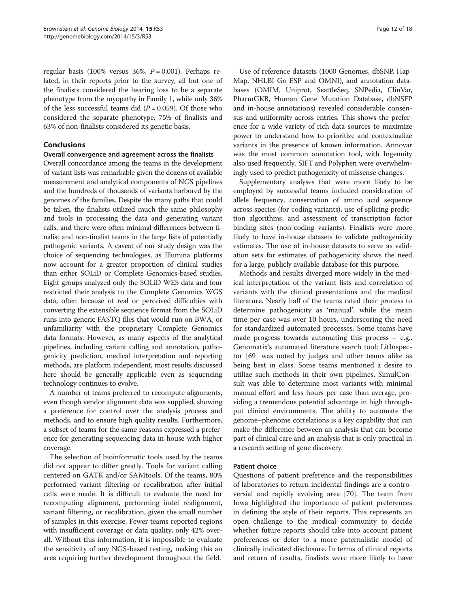regular basis (100% versus 36%,  $P = 0.001$ ). Perhaps related, in their reports prior to the survey, all but one of the finalists considered the hearing loss to be a separate phenotype from the myopathy in Family 1, while only 36% of the less successful teams did  $(P = 0.059)$ . Of those who considered the separate phenotype, 75% of finalists and 63% of non-finalists considered its genetic basis.

# Conclusions

#### Overall convergence and agreement across the finalists

Overall concordance among the teams in the development of variant lists was remarkable given the dozens of available measurement and analytical components of NGS pipelines and the hundreds of thousands of variants harbored by the genomes of the families. Despite the many paths that could be taken, the finalists utilized much the same philosophy and tools in processing the data and generating variant calls, and there were often minimal differences between finalist and non-finalist teams in the large lists of potentially pathogenic variants. A caveat of our study design was the choice of sequencing technologies, as Illumina platforms now account for a greater proportion of clinical studies than either SOLiD or Complete Genomics-based studies. Eight groups analyzed only the SOLiD WES data and four restricted their analysis to the Complete Genomics WGS data, often because of real or perceived difficulties with converting the extensible sequence format from the SOLiD runs into generic FASTQ files that would run on BWA, or unfamiliarity with the proprietary Complete Genomics data formats. However, as many aspects of the analytical pipelines, including variant calling and annotation, pathogenicity prediction, medical interpretation and reporting methods, are platform independent, most results discussed here should be generally applicable even as sequencing technology continues to evolve.

A number of teams preferred to recompute alignments, even though vendor alignment data was supplied, showing a preference for control over the analysis process and methods, and to ensure high quality results. Furthermore, a subset of teams for the same reasons expressed a preference for generating sequencing data in-house with higher coverage.

The selection of bioinformatic tools used by the teams did not appear to differ greatly. Tools for variant calling centered on GATK and/or SAMtools. Of the teams, 80% performed variant filtering or recalibration after initial calls were made. It is difficult to evaluate the need for recomputing alignment, performing indel realignment, variant filtering, or recalibration, given the small number of samples in this exercise. Fewer teams reported regions with insufficient coverage or data quality, only 42% overall. Without this information, it is impossible to evaluate the sensitivity of any NGS-based testing, making this an area requiring further development throughout the field.

Use of reference datasets (1000 Genomes, dbSNP, Hap-Map, NHLBI Go ESP and OMNI), and annotation databases (OMIM, Uniprot, SeattleSeq, SNPedia, ClinVar, PharmGKB, Human Gene Mutation Database, dbNSFP and in-house annotations) revealed considerable consensus and uniformity across entries. This shows the preference for a wide variety of rich data sources to maximize power to understand how to prioritize and contextualize variants in the presence of known information. Annovar was the most common annotation tool, with Ingenuity also used frequently. SIFT and Polyphen were overwhelmingly used to predict pathogenicity of missense changes.

Supplementary analyses that were more likely to be employed by successful teams included consideration of allele frequency, conservation of amino acid sequence across species (for coding variants), use of splicing prediction algorithms, and assessment of transcription factor binding sites (non-coding variants). Finalists were more likely to have in-house datasets to validate pathogenicity estimates. The use of in-house datasets to serve as validation sets for estimates of pathogenicity shows the need for a large, publicly available database for this purpose.

Methods and results diverged more widely in the medical interpretation of the variant lists and correlation of variants with the clinical presentations and the medical literature. Nearly half of the teams rated their process to determine pathogenicity as 'manual', while the mean time per case was over 10 hours, underscoring the need for standardized automated processes. Some teams have made progress towards automating this process – e.g., Genomatix's automated literature search tool; LitInspector [\[69](#page-16-0)] was noted by judges and other teams alike as being best in class. Some teams mentioned a desire to utilize such methods in their own pipelines. SimulConsult was able to determine most variants with minimal manual effort and less hours per case than average, providing a tremendous potential advantage in high throughput clinical environments. The ability to automate the genome–phenome correlations is a key capability that can make the difference between an analysis that can become part of clinical care and an analysis that is only practical in a research setting of gene discovery.

#### Patient choice

Questions of patient preference and the responsibilities of laboratories to return incidental findings are a controversial and rapidly evolving area [\[70](#page-16-0)]. The team from Iowa highlighted the importance of patient preferences in defining the style of their reports. This represents an open challenge to the medical community to decide whether future reports should take into account patient preferences or defer to a more paternalistic model of clinically indicated disclosure. In terms of clinical reports and return of results, finalists were more likely to have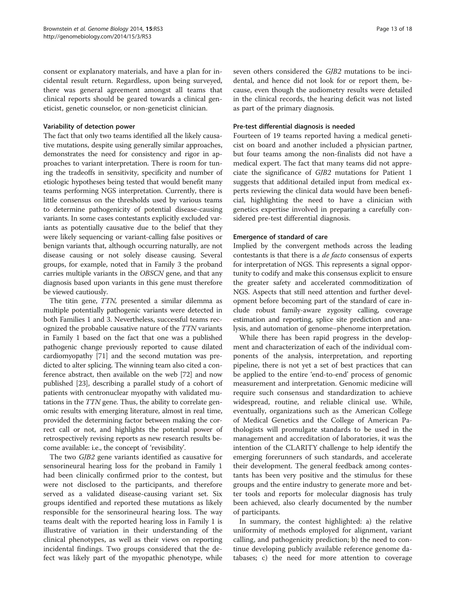consent or explanatory materials, and have a plan for incidental result return. Regardless, upon being surveyed, there was general agreement amongst all teams that clinical reports should be geared towards a clinical geneticist, genetic counselor, or non-geneticist clinician.

#### Variability of detection power

The fact that only two teams identified all the likely causative mutations, despite using generally similar approaches, demonstrates the need for consistency and rigor in approaches to variant interpretation. There is room for tuning the tradeoffs in sensitivity, specificity and number of etiologic hypotheses being tested that would benefit many teams performing NGS interpretation. Currently, there is little consensus on the thresholds used by various teams to determine pathogenicity of potential disease-causing variants. In some cases contestants explicitly excluded variants as potentially causative due to the belief that they were likely sequencing or variant-calling false positives or benign variants that, although occurring naturally, are not disease causing or not solely disease causing. Several groups, for example, noted that in Family 3 the proband carries multiple variants in the OBSCN gene, and that any diagnosis based upon variants in this gene must therefore be viewed cautiously.

The titin gene, TTN, presented a similar dilemma as multiple potentially pathogenic variants were detected in both Families 1 and 3. Nevertheless, successful teams recognized the probable causative nature of the TTN variants in Family 1 based on the fact that one was a published pathogenic change previously reported to cause dilated cardiomyopathy [\[71](#page-17-0)] and the second mutation was predicted to alter splicing. The winning team also cited a conference abstract, then available on the web [[72](#page-17-0)] and now published [\[23](#page-15-0)], describing a parallel study of a cohort of patients with centronuclear myopathy with validated mutations in the TTN gene. Thus, the ability to correlate genomic results with emerging literature, almost in real time, provided the determining factor between making the correct call or not, and highlights the potential power of retrospectively revising reports as new research results become available: i.e., the concept of 'revisibility'.

The two GJB2 gene variants identified as causative for sensorineural hearing loss for the proband in Family 1 had been clinically confirmed prior to the contest, but were not disclosed to the participants, and therefore served as a validated disease-causing variant set. Six groups identified and reported these mutations as likely responsible for the sensorineural hearing loss. The way teams dealt with the reported hearing loss in Family 1 is illustrative of variation in their understanding of the clinical phenotypes, as well as their views on reporting incidental findings. Two groups considered that the defect was likely part of the myopathic phenotype, while

seven others considered the GJB2 mutations to be incidental, and hence did not look for or report them, because, even though the audiometry results were detailed in the clinical records, the hearing deficit was not listed as part of the primary diagnosis.

#### Pre-test differential diagnosis is needed

Fourteen of 19 teams reported having a medical geneticist on board and another included a physician partner, but four teams among the non-finalists did not have a medical expert. The fact that many teams did not appreciate the significance of GJB2 mutations for Patient 1 suggests that additional detailed input from medical experts reviewing the clinical data would have been beneficial, highlighting the need to have a clinician with genetics expertise involved in preparing a carefully considered pre-test differential diagnosis.

#### Emergence of standard of care

Implied by the convergent methods across the leading contestants is that there is a de facto consensus of experts for interpretation of NGS. This represents a signal opportunity to codify and make this consensus explicit to ensure the greater safety and accelerated commoditization of NGS. Aspects that still need attention and further development before becoming part of the standard of care include robust family-aware zygosity calling, coverage estimation and reporting, splice site prediction and analysis, and automation of genome–phenome interpretation.

While there has been rapid progress in the development and characterization of each of the individual components of the analysis, interpretation, and reporting pipeline, there is not yet a set of best practices that can be applied to the entire 'end-to-end' process of genomic measurement and interpretation. Genomic medicine will require such consensus and standardization to achieve widespread, routine, and reliable clinical use. While, eventually, organizations such as the American College of Medical Genetics and the College of American Pathologists will promulgate standards to be used in the management and accreditation of laboratories, it was the intention of the CLARITY challenge to help identify the emerging forerunners of such standards, and accelerate their development. The general feedback among contestants has been very positive and the stimulus for these groups and the entire industry to generate more and better tools and reports for molecular diagnosis has truly been achieved, also clearly documented by the number of participants.

In summary, the contest highlighted: a) the relative uniformity of methods employed for alignment, variant calling, and pathogenicity prediction; b) the need to continue developing publicly available reference genome databases; c) the need for more attention to coverage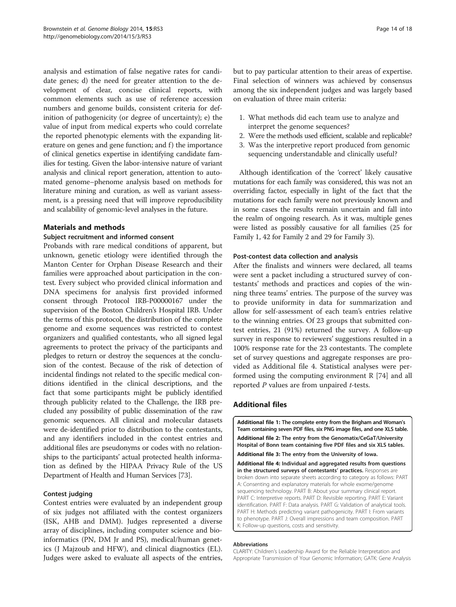<span id="page-13-0"></span>analysis and estimation of false negative rates for candidate genes; d) the need for greater attention to the development of clear, concise clinical reports, with common elements such as use of reference accession numbers and genome builds, consistent criteria for definition of pathogenicity (or degree of uncertainty); e) the value of input from medical experts who could correlate the reported phenotypic elements with the expanding literature on genes and gene function; and f) the importance of clinical genetics expertise in identifying candidate families for testing. Given the labor-intensive nature of variant analysis and clinical report generation, attention to automated genome–phenome analysis based on methods for literature mining and curation, as well as variant assessment, is a pressing need that will improve reproducibility and scalability of genomic-level analyses in the future.

# Materials and methods

# Subject recruitment and informed consent

Probands with rare medical conditions of apparent, but unknown, genetic etiology were identified through the Manton Center for Orphan Disease Research and their families were approached about participation in the contest. Every subject who provided clinical information and DNA specimens for analysis first provided informed consent through Protocol IRB-P00000167 under the supervision of the Boston Children's Hospital IRB. Under the terms of this protocol, the distribution of the complete genome and exome sequences was restricted to contest organizers and qualified contestants, who all signed legal agreements to protect the privacy of the participants and pledges to return or destroy the sequences at the conclusion of the contest. Because of the risk of detection of incidental findings not related to the specific medical conditions identified in the clinical descriptions, and the fact that some participants might be publicly identified through publicity related to the Challenge, the IRB precluded any possibility of public dissemination of the raw genomic sequences. All clinical and molecular datasets were de-identified prior to distribution to the contestants, and any identifiers included in the contest entries and additional files are pseudonyms or codes with no relationships to the participants' actual protected health information as defined by the HIPAA Privacy Rule of the US Department of Health and Human Services [\[73\]](#page-17-0).

# Contest judging

Contest entries were evaluated by an independent group of six judges not affiliated with the contest organizers (ISK, AHB and DMM). Judges represented a diverse array of disciplines, including computer science and bioinformatics (PN, DM Jr and PS), medical/human genetics (J Majzoub and HFW), and clinical diagnostics (EL). Judges were asked to evaluate all aspects of the entries, but to pay particular attention to their areas of expertise. Final selection of winners was achieved by consensus among the six independent judges and was largely based on evaluation of three main criteria:

- 1. What methods did each team use to analyze and interpret the genome sequences?
- 2. Were the methods used efficient, scalable and replicable?
- 3. Was the interpretive report produced from genomic sequencing understandable and clinically useful?

Although identification of the 'correct' likely causative mutations for each family was considered, this was not an overriding factor, especially in light of the fact that the mutations for each family were not previously known and in some cases the results remain uncertain and fall into the realm of ongoing research. As it was, multiple genes were listed as possibly causative for all families (25 for Family 1, 42 for Family 2 and 29 for Family 3).

#### Post-contest data collection and analysis

After the finalists and winners were declared, all teams were sent a packet including a structured survey of contestants' methods and practices and copies of the winning three teams' entries. The purpose of the survey was to provide uniformity in data for summarization and allow for self-assessment of each team's entries relative to the winning entries. Of 23 groups that submitted contest entries, 21 (91%) returned the survey. A follow-up survey in response to reviewers' suggestions resulted in a 100% response rate for the 23 contestants. The complete set of survey questions and aggregate responses are provided as Additional file 4. Statistical analyses were performed using the computing environment R [\[74](#page-17-0)] and all reported  $P$  values are from unpaired  $t$ -tests.

# Additional files

[Additional file 1:](http://www.biomedcentral.com/content/supplementary/gb-2014-15-3-r53-S1.zip) The complete entry from the Brigham and Woman's Team containing seven PDF files, six PNG image files, and one XLS table. [Additional file 2:](http://www.biomedcentral.com/content/supplementary/gb-2014-15-3-r53-S2.zip) The entry from the Genomatix/CeGaT/University Hospital of Bonn team containing five PDF files and six XLS tables. [Additional file 3:](http://www.biomedcentral.com/content/supplementary/gb-2014-15-3-r53-S3.pdf) The entry from the University of Iowa. [Additional file 4:](http://www.biomedcentral.com/content/supplementary/gb-2014-15-3-r53-S4.xlsx) Individual and aggregated results from questions in the structured surveys of contestants' practices. Responses are broken down into separate sheets according to category as follows: PART

A: Consenting and explanatory materials for whole exome/genome sequencing technology. PART B: About your summary clinical report. PART C: Interpretive reports. PART D: Revisible reporting. PART E: Variant identification. PART F: Data analysis. PART G: Validation of analytical tools. PART H: Methods predicting variant pathogenicity. PART I: From variants to phenotype. PART J: Overall impressions and team composition. PART K: Follow-up questions, costs and sensitivity.

#### Abbreviations

CLARITY: Children's Leadership Award for the Reliable Interpretation and Appropriate Transmission of Your Genomic Information; GATK: Gene Analysis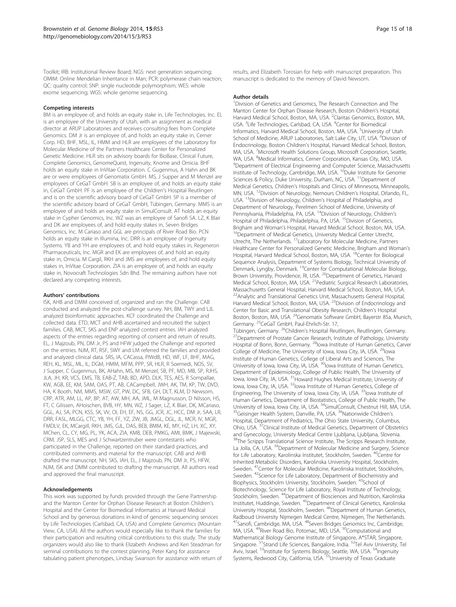Toolkit; IRB: Institutional Review Board; NGS: next generation sequencing; OMIM: Online Mendelian Inheritance in Man; PCR: polymerase chain reaction; QC: quality control; SNP: single nucleotide polymorphism; WES: whole exome sequencing; WGS: whole genome sequencing.

#### Competing interests

BM is an employee of, and holds an equity stake in, Life Technologies, Inc. EL is an employee of the University of Utah, with an assignment as medical director at ARUP Laboratories and receives consulting fees from Complete Genomics. DM Jr is an employee of, and holds an equity stake in, Cerner Corp. HD, BHF, MSL, IL, HMM and HLR are employees of the Laboratory for Molecular Medicine of the Partners Healthcare Center for Personalized Genetic Medicine. HLR sits on advisory boards for BioBase, Clinical Future, Complete Genomics, GenomeQuest, Ingenuity, Knome and Omicia. BHF holds an equity stake in InVitae Corporation. C Gugenmus, A Hahn and BK are or were employees of Genomatix GmbH. MS, J Supper and M Menzel are employees of CeGaT GmbH. SB is an employee of, and holds an equity stake in, CeGaT GmbH. PF is an employee of the Children's Hospital Reutlingen and is on the scientific advisory board of CeGaT GmbH. SP is a member of the scientific advisory board of CeGaT GmbH, Tübingen, Germany. MMS is an employee of and holds an equity stake in SimulConsult. AT holds an equity stake in Cypher Genomics, Inc. WZ was an employee of Sanofi SA. LZ, K Blair and DK are employees of, and hold equity stakes in, Seven Bridges Genomics, Inc. M Cariaso and GGL are principals of River Road Bio. PCN holds an equity stake in Illumina, Inc. DRR is an employee of Ingenuity Systems. YB and YH are employees of, and hold equity stakes in, Regeneron Pharmaceuticals, Inc. MGR and EK are employees of, and hold an equity stake in, Omicia. M Cargil, RKH and JMS are employees of, and hold equity stakes in, InVitae Corporation. ZIA is an employee of, and holds an equity stake in, Novocraft Technologies Sdn Bhd. The remaining authors have not declared any competing interests.

#### Authors' contributions

ISK, AHB and DMM conceived of, organized and ran the Challenge. CAB conducted and analyzed the post-challenge survey. NH, BM, TWY and LJL analyzed bioinformatic approaches. KCF coordinated the Challenge and collected data. ETD, MCT and AHB ascertained and recruited the subject families. CAB, MCT, SKS and ENP analyzed contest entries. IAH analyzed aspects of the entries regarding reporting of consent and return of results. EL, J Majzoub, PN, DM Jr, PS and HFW judged the Challenge and reported on the entries. NJM, RT, RSF, SWY and LM referred the families and provided and analyzed clinical data. SRS, IA, CACassa, PIWdB, HD, WF, LF, BHF, MAG, REH, KL, MSL, ML, IL, DGM, HMM, MFM, PPP, SR, HLR, R Soemedi, NOS, SV, J Supper, C Gugenmus, BK, AHahn, MS, M Menzel, SB, PF, MD, MB, SP, RJHS, JLA, JH, KR, VCS, EMS, TB, EAB-Z, TAB, BD, APD, DLK, TES, AES, R Sompallae, KW, AGB, EE, KM, SAM, OAS, PT, AB, CACampbell, JWH, AK, TM, KP, TW, DVD, HA, K Booth, NM, MMS, MSW, GT, PW, DC, SFB, GH, DLT, KLM, D Newsom, CRP, ATR, AM, LL, AP, BP, AT, AW, MH, AA, JML, M Magnusson, D Nilsson, HS, FT, C Gilissen, AHoischen, BVB, HY, MN, WZ, J Sager, LZ, K Blair, DK, MCariaso, GGL, AJ, SA, PCN, KSS, SK, VV, OI, EH, EF, NS, GG, JCR, JC, HCC, DM Jr, SAA, LR, DRR, FASL, MLGG, CTC, YB, YH, FF, YZ, ZW, JB, JMGL, DGL, JL, MCR, IV, MGR, FMDLV, EK, MCargill, RKH, JMS, GJL, DAS, BEB, BMM, KE, MY, HZ, LH, XC, XY, MChen, CL, CY, MG, PL, YK, ACA, ZIA, KMB, DEB, PMKG, AMI, BMK, J Majewski, CRM, JSP, SLS, MES and J Schwartzentruber were contestants who participated in the Challenge, reported on their standard practices, and contributed comments and material for the manuscript. CAB and AHB drafted the manuscript. NH, SKS, IAH, EL, J Majzoub, PN, DM Jr, PS, HFW, NJM, ISK and DMM contributed to drafting the manuscript. All authors read and approved the final manuscript.

#### Acknowledgements

This work was supported by funds provided through the Gene Partnership and the Manton Center for Orphan Disease Research at Boston Children's Hospital and the Center for Biomedical Informatics at Harvard Medical School and by generous donations in-kind of genomic sequencing services by Life Technologies (Carlsbad, CA, USA) and Complete Genomics (Mountain View, CA, USA). All the authors would especially like to thank the families for their participation and resulting critical contributions to this study. The study organizers would also like to thank Elizabeth Andrews and Keri Steadman for seminal contributions to the contest planning, Peter Kang for assistance tabulating patient phenotypes, Lindsay Swanson for assistance with return of

results, and Elizabeth Torosian for help with manuscript preparation. This manuscript is dedicated to the memory of David Newsom.

#### Author details

<sup>1</sup> Division of Genetics and Genomics, The Research Connection and The Manton Center for Orphan Disease Research, Boston Children's Hospital, Harvard Medical School, Boston, MA, USA. <sup>2</sup>Claritas Genomics, Boston, MA, USA. <sup>3</sup> Life Technologies, Carlsbad, CA, USA. <sup>4</sup> Center for Biomedical Informatics, Harvard Medical School, Boston, MA, USA. <sup>5</sup>University of Utah School of Medicine, ARUP Laboratories, Salt Lake City, UT, USA. <sup>6</sup>Division of Endocrinology, Boston Children's Hospital, Harvard Medical School, Boston, MA, USA.<sup>7</sup> Microsoft Health Solutions Group, Microsoft Corporation, Seattle WA, USA. <sup>8</sup>Medical Informatics, Cerner Corporation, Kansas City, MO, USA.<br><sup>9</sup>Department of Electrical Engineering and Computer Science, Massachus <sup>9</sup>Department of Electrical Engineering and Computer Science, Massachusetts Institute of Technology, Cambridge, MA, USA. <sup>10</sup>Duke Institute for Genome Sciences & Policy, Duke University, Durham, NC, USA. <sup>11</sup>Department of Medical Genetics, Children's Hospitals and Clinics of Minnesota, Minneapolis, MN, USA. 12Division of Neurology, Nemours Children's Hospital, Orlando, FL, USA. 13Division of Neurology, Children's Hospital of Philadelphia, and Department of Neurology, Perelmen School of Medicine, University of<br>Pennsylvania, Philadelphia, PA, USA. <sup>14</sup>Division of Neurology, Children's Hospital of Philadelphia, Philadelphia, PA, USA. <sup>15</sup>Division of Genetics, Brigham and Woman's Hospital, Harvard Medical School, Boston, MA, USA.<br><sup>16</sup>Department of Medical Genetics, University Medical Center Utrecht, Utrecht, The Netherlands. <sup>17</sup>Laboratory for Molecular Medicine, Partners Healthcare Center for Personalized Genetic Medicine, Brigham and Woman's Hospital, Harvard Medical School, Boston, MA, USA. <sup>18</sup>Center for Biological Sequence Analysis, Department of Systems Biology, Technical University of Denmark, Lyngby, Denmark. 19Center for Computational Molecular Biology, Brown University, Providence, RI, USA. <sup>20</sup>Department of Genetics, Harvard Medical School, Boston, MA, USA. 21Pediatric Surgical Research Laboratories, Massachusetts General Hospital, Harvard Medical School, Boston, MA, USA. <sup>22</sup>Analytic and Translational Genetics Unit, Massachusetts General Hospital, Harvard Medical School, Boston, MA, USA.<sup>23</sup>Division of Endocrinology and Center for Basic and Translational Obesity Research, Children's Hospital Boston, Boston, MA, USA. 24Genomatix Software GmbH, Bayerstr 85a, Munich, Germany. 25CeGaT GmbH, Paul-Ehrlich-Str. 17,

Tübingen, Germany. <sup>26</sup>Children's Hospital Reutlingen, Reutlingen, Germany.<br><sup>27</sup>Department of Prostate Cancer Research, Institute of Pathology, University Hospital of Bonn, Bonn, Germany. <sup>28</sup>Iowa Institute of Human Genetics, Carver College of Medicine, The University of Iowa, Iowa City, IA, USA. <sup>29</sup>Iowa Institute of Human Genetics, College of Liberal Arts and Sciences, The University of Iowa, Iowa City, IA, USA. <sup>30</sup>Iowa Institute of Human Genetics, Department of Epidemiology, College of Public Health, The University of Iowa, Iowa City, IA, USA. 31Howard Hughes Medical Institute, University of Iowa, Iowa City, IA, USA. <sup>32</sup>Iowa Institute of Human Genetics, College of Engineering, The University of Iowa, Iowa City, IA, USA. <sup>33</sup>Iowa Institute of Human Genetics, Department of Biostatistics, College of Public Health, The<br>University of Iowa, Iowa City, IA, USA. <sup>34</sup>SimulConsult, Chestnut Hill, MA, USA. <sup>35</sup>Geisinger Health System, Danville, PA, USA. <sup>36</sup>Nationwide Children's Hospital, Department of Pediatrics, The Ohio State University, Columbus, Ohio, USA. 37Clinical Institute of Medical Genetics, Department of Obstetrics and Gynecology, University Medical Centre Ljubljana, Ljubljana, Slovenia. <sup>38</sup>The Scripps Translational Science Institute, The Scripps Research Institute, La Jolla, CA, USA. <sup>39</sup>Department of Molecular Medicine and Surgery, Science for Life Laboratory, Karolinska Institutet, Stockholm, Sweden. <sup>40</sup>Centre for Inherited Metabolic Disorders, Karolinska University Hospital, Stockholm, Sweden. 41Center for Molecular Medicine, Karolinska Institutet, Stockholm, Sweden. <sup>42</sup>Science for Life Laboratory, Department of Biochemistry and Biophysics, Stockholm University, Stockholm, Sweden. <sup>43</sup>School of Biotechnology, Science for Life Laboratory, Royal Institute of Technology, Stockholm, Sweden. 44Department of Biosciences and Nutrition, Karolinska Institutet, Huddinge, Sweden. 45Department of Clinical Genetics, Karolinska University Hospital, Stockholm, Sweden. 46Department of Human Genetics, Radboud University Nijmegen Medical Centre, Nijmegen, The Netherlands. 47Sanofi, Cambridge, MA, USA. 48Seven Bridges Genomics Inc, Cambridge, MA, USA. <sup>49</sup>River Road Bio, Potomac, MD, USA. <sup>50</sup>Computational and Mathematical Biology Genome Institute of Singapore, A\*STAR, Singapore, Singapore. <sup>51</sup>Strand Life Sciences, Bangalore, India. <sup>52</sup>Tel Aviv University, Tel Aviv, Israel. <sup>53</sup>Institute for Systems Biology, Seattle, WA, USA. <sup>54</sup>Ingenuity Systems, Redwood City, California, USA.<sup>55</sup>University of Texas Graduate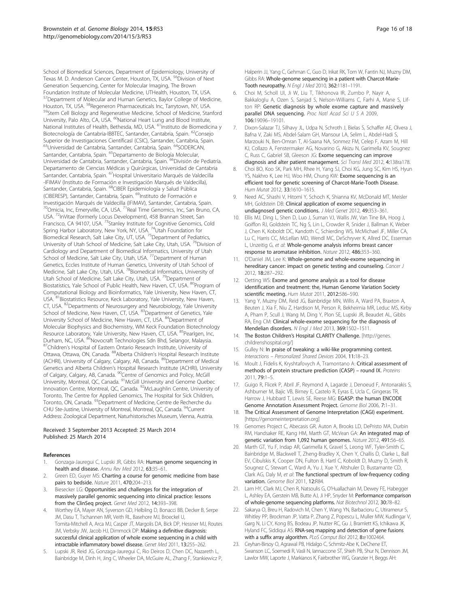<span id="page-15-0"></span>School of Biomedical Sciences, Department of Epidemiology, University of Texas M. D. Anderson Cancer Center, Houston, TX, USA. <sup>56</sup> Division of Next Generation Sequencing, Center for Molecular Imaging, The Brown Foundation Institute of Molecular Medicine, UTHealth, Houston, TX, USA. 57Department of Molecular and Human Genetics, Baylor College of Medicine, Houston, TX, USA. <sup>58</sup>Regeneron Pharmaceuticals Inc, Tarrytown, NY, USA.<br><sup>59</sup>Stem Cell Biology and Regenerative Medicine, School of Medicine, Stanford University, Palo Alto, CA, USA. <sup>60</sup>National Heart Lung and Blood Institute, National Institutes of Health, Bethesda, MD, USA. <sup>61</sup>Instituto de Biomedicina y Biotecnología de Cantabria-IBBTEC, Santander, Cantabria, Spain. <sup>62</sup>Consejo Superior de Investigaciones Científicasl (CSIC), Santander, Cantabria, Spain. 63Universidad de Cantabria, Santander, Cantabria, Spain. 64SODERCAN, Santander, Cantabria, Spain. <sup>65</sup>Departamento de Biología Molecular, Universidad de Cantabria, Santander, Cantabria, Spain. <sup>66</sup>División de Pediatría. Departamento de Ciencias Médicas y Quirúrgicas, Universidad de Cantabria Santander, Cantabria, Spain. <sup>67</sup>Hospital Universitario Marqués de Valdecilla -IFIMAV (Instituto de Formación e Investigación Marqués de Valdecilla), Santander, Cantabria, Spain. 68CIBER Epidemiología y Salud Pública (CIBERESP), Santander, Cantabria, Spain. 69Instituto de Formación e Investigación Marqués de Valdecilla (IFIMAV), Santander, Cantabria, Spain. <sup>70</sup>Omicia, Inc, Emeryville, CA, USA. <sup>71</sup>Real Time Genomics, Inc, San Bruno, CA, USA. <sup>72</sup>InVitae (formerly Locus Development), 458 Brannan Street, San Francisco, CA 94107, USA. <sup>73</sup>Stanley Institute for Cognitive Genomics, Cold Spring Harbor Laboratory, New York, NY, USA. <sup>74</sup>Utah Foundation for Biomedical Research, Salt Lake City, UT, USA. 75Department of Pediatrics, University of Utah School of Medicine, Salt Lake City, Utah, USA. <sup>76</sup>Division of Cardiology and Department of Biomedical Informatics, University of Utah School of Medicine, Salt Lake City, Utah, USA.<sup>77</sup>Department of Human Genetics, Eccles Institute of Human Genetics, University of Utah School of Medicine, Salt Lake City, Utah, USA. 78Biomedical Informatics, University of Utah School of Medicine, Salt Lake City, Utah, USA.<sup>79</sup>Department of Biostatistics, Yale School of Public Health, New Haven, CT, USA. <sup>80</sup>Program of Computational Biology and Bioinformatics, Yale University, New Haven, CT, USA. <sup>81</sup>Biostatistics Resource, Keck Laboratory, Yale University, New Haven, CT, USA. 82Departments of Neurosurgery and Neurobiology, Yale University School of Medicine, New Haven, CT, USA. <sup>83</sup>Department of Genetics, Yale University School of Medicine, New Haven, CT, USA. 84Department of Molecular Biophysics and Biochemistry, WM Keck Foundation Biotechnology Resource Laboratory, Yale University, New Haven, CT, USA. <sup>85</sup>Pearlgen, Inc, Durham, NC, USA. <sup>86</sup>Novocraft Technologies Sdn Bhd, Selangor, Malaysia. 87Children's Hospital of Eastern Ontario Research Institute, University of Ottawa, Ottawa, ON, Canada. 88Alberta Children's Hospital Research Institute (ACHRI), University of Calgary, Calgary, AB, Canada. 89Department of Medical Genetics and Alberta Children's Hospital Research Institute (ACHRI), University of Calgary, Calgary, AB, Canada. <sup>90</sup>Centre of Genomics and Policy, McGill University, Montreal, QC, Canada. <sup>91</sup>McGill University and Genome Quebec Innovation Centre, Montreal, QC, Canada. <sup>92</sup>McLaughlin Centre, University of Toronto, The Centre for Applied Genomics, The Hospital for Sick Children, Toronto, ON, Canada. <sup>93</sup>Department of Medicine, Centre de Recherche du CHU Ste-Justine, University of Montreal, Montreal, QC, Canada. <sup>94</sup>Current Address: Zoological Department, Naturhistorisches Museum, Vienna, Austria.

#### Received: 3 September 2013 Accepted: 25 March 2014 Published: 25 March 2014

#### References

- 1. Gonzaga-Jauregui C, Lupski JR, Gibbs RA: Human genome sequencing in health and disease. Annu Rev Med 2012, 63:35–61.
- 2. Green ED, Guyer MS: Charting a course for genomic medicine from base pairs to bedside. Nature 2011, 470:204–213.
- 3. Biesecker LG: Opportunities and challenges for the integration of massively parallel genomic sequencing into clinical practice: lessons from the ClinSeq project. Genet Med 2012, 14:393–398.
- 4. Worthey EA, Mayer AN, Syverson GD, Helbling D, Bonacci BB, Decker B, Serpe JM, Dasu T, Tschannen MR, Veith RL, Basehore MJ, Broeckel U, Tomita-Mitchell A, Arca MJ, Casper JT, Margolis DA, Bick DP, Hessner MJ, Routes JM, Verbsky JW, Jacob HJ, Dimmock DP: Making a definitive diagnosis: successful clinical application of whole exome sequencing in a child with intractable inflammatory bowel disease. Genet Med 2011, 13:255–262.
- 5. Lupski JR, Reid JG, Gonzaga-Jauregui C, Rio Deiros D, Chen DC, Nazareth L, Bainbridge M, Dinh H, Jing C, Wheeler DA, McGuire AL, Zhang F, Stankiewicz P,

Halperin JJ, Yang C, Gehman C, Guo D, Irikat RK, Tom W, Fantin NJ, Muzny DM, Gibbs RA: Whole-genome sequencing in a patient with Charcot-Marie-Tooth neuropathy. N Engl J Med 2010, 362:1181–1191.

- 6. Choi M, Scholl UI, Ji W, Liu T, Tikhonova IR, Zumbo P, Nayir A, Bakkaloglu A, Ozen S, Sanjad S, Nelson-Williams C, Farhi A, Mane S, Lifton RP: Genetic diagnosis by whole exome capture and massively parallel DNA sequencing. Proc Natl Acad Sci U S A 2009, 106:19096–19101.
- Dixon-Salazar TJ, Silhavy JL, Udpa N, Schroth J, Bielas S, Schaffer AE, Olvera J, Bafna V, Zaki MS, Abdel-Salam GH, Mansour LA, Selim L, Abdel-Hadi S, Marzouki N, Ben-Omran T, Al-Saana NA, Sonmez FM, Celep F, Azam M, Hill KJ, Collazo A, Fenstermaker AG, Novarino G, Akizu N, Garimella KV, Sougnez C, Russ C, Gabriel SB, Gleeson JG: Exome sequencing can improve diagnosis and alter patient management. Sci Transl Med 2012, 4:138ra178.
- 8. Choi BO, Koo SK, Park MH, Rhee H, Yang SJ, Choi KG, Jung SC, Kim HS, Hyun YS, Nakhro K, Lee HJ, Woo HM, Chung KW: Exome sequencing is an efficient tool for genetic screening of Charcot-Marie-Tooth Disease. Hum Mutat 2012, 33:1610–1615.
- Need AC, Shashi V, Hitomi Y, Schoch K, Shianna KV, McDonald MT, Meisler MH, Goldstein DB: Clinical application of exome sequencing in undiagnosed genetic conditions. J Med Genet 2012, 49:353–361.
- 10. Ellis MJ, Ding L, Shen D, Luo J, Suman VJ, Wallis JW, Van Tine BA, Hoog J, Goiffon RJ, Goldstein TC, Ng S, Lin L, Crowder R, Snider J, Ballman K, Weber J, Chen K, Koboldt DC, Kandoth C, Schierding WS, McMichael JF, Miller CA, Lu C, Harris CC, McLellan MD, Wendl MC, DeSchryver K, Allred DC, Esserman L, Unzeitig G, et al: Whole-genome analysis informs breast cancer response to aromatase inhibition. Nature 2012, 486:353–360.
- 11. O'Daniel JM, Lee K: Whole-genome and whole-exome sequencing in hereditary cancer: impact on genetic testing and counseling. Cancer J 2012, 18:287–292.
- 12. Oetting WS: Exome and genome analysis as a tool for disease identification and treatment: the, Human Genome Variation Society scientific meeting. Hum Mutat 2011, 2012:586–590.
- 13. Yang Y, Muzny DM, Reid JG, Bainbridge MN, Willis A, Ward PA, Braxton A, Beuten J, Xia F, Niu Z, Hardison M, Person R, Bekheirnia MR, Leduc MS, Kirby A, Pham P, Scull J, Wang M, Ding Y, Plon SE, Lupski JR, Beaudet AL, Gibbs RA, Eng CM: Clinical whole-exome sequencing for the diagnosis of Mendelian disorders. N Engl J Med 2013, 369:1502–1511.
- 14. The Boston Children's Hospital CLARITY Challenge. [[http://genes.](http://genes.childrenshospital.org/) childrenshospital.org/L
- 15. Gulley N: In praise of tweaking: a wiki-like programming contest. Interactions – Personalized Shared Devices 2004, 11:18–23.
- 16. Moult J, Fidelis K, Kryshtafovych A, Tramontano A: Critical assessment of methods of protein structure prediction (CASP) – round IX. Proteins 2011, 79:1–5.
- 17. Guigo R, Flicek P, Abril JF, Reymond A, Lagarde J, Denoeud F, Antonarakis S, Ashburner M, Bajic VB, Birney E, Castelo R, Eyras E, Ucla C, Gingeras TR, Harrow J, Hubbard T, Lewis SE, Reese MG: EGASP: the human ENCODE Genome Annotation Assessment Project. Genome Biol 2006, 7:1–31.
- 18. The Critical Assessment of Genome Interpretation (CAGI) experiment. [[https://genomeinterpretation.org\]](https://genomeinterpretation.org/)
- 19. Genomes Project C, Abecasis GR, Auton A, Brooks LD, DePristo MA, Durbin RM, Handsaker RE, Kang HM, Marth GT, McVean GA: An integrated map of genetic variation from 1,092 human genomes. Nature 2012, 491:56–65.
- 20. Marth GT, Yu F, Indap AR, Garimella K, Gravel S, Leong WF, Tyler-Smith C, Bainbridge M, Blackwell T, Zheng-Bradley X, Chen Y, Challis D, Clarke L, Ball EV, Cibulskis K, Cooper DN, Fulton B, Hartl C, Koboldt D, Muzny D, Smith R, Sougnez C, Stewart C, Ward A, Yu J, Xue Y, Altshuler D, Bustamante CD, Clark AG, Daly M, et al: The functional spectrum of low-frequency coding variation. Genome Biol 2011, 12:R84.
- 21. Lam HY, Clark MJ, Chen R, Natsoulis G, O'Huallachain M, Dewey FE, Habegger L, Ashley EA, Gerstein MB, Butte AJ, Ji HP, Snyder M: Performance comparison of whole-genome sequencing platforms. Nat Biotechnol 2012, 30:78–82.
- Sakarya O, Breu H, Radovich M, Chen Y, Wang YN, Barbacioru C, Utiramerur S, Whitley PP, Brockman JP, Vatta P, Zhang Z, Popescu L, Muller MW, Kudlingar V, Garg N, Li CY, Kong BS, Bodeau JP, Nutter RC, Gu J, Bramlett KS, Ichikawa JK, Hyland FC, Siddiqui AS: RNA-seq mapping and detection of gene fusions with a suffix array algorithm. PLoS Comput Biol 2012, 8:e1002464.
- 23. Ceyhan-Birsoy O, Agrawal PB, Hidalgo C, Schmitz-Abe K, DeChene ET, Swanson LC, Soemedi R, Vasli N, Iannaccone ST, Shieh PB, Shur N, Dennison JM, Lawlor MW, Laporte J, Markianos K, Fairbrother WG, Granzier H, Beggs AH: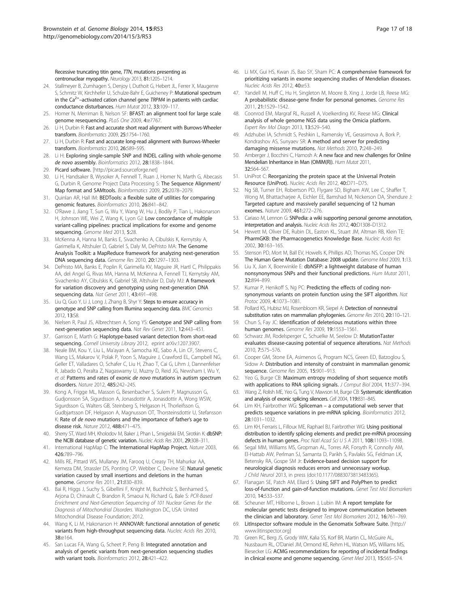<span id="page-16-0"></span>Recessive truncating titin gene, TTN, mutations presenting as centronuclear myopathy. Neurology 2013, 81:1205–1214.

- 24. Stallmeyer B, Zumhagen S, Denjoy I, Duthoit G, Hebert JL, Ferrer X, Maugenre S, Schmitz W, Kirchhefer U, Schulze-Bahr E, Guicheney P: Mutational spectrum in the  $Ca^{2+}$ –activated cation channel gene TRPM4 in patients with cardiac conductance disturbances. Hum Mutat 2012, 33:109–117.
- 25. Homer N, Merriman B, Nelson SF: BFAST: an alignment tool for large scale genome resequencing. PLoS One 2009, 4:e7767
- 26. Li H, Durbin R: Fast and accurate short read alignment with Burrows-Wheeler transform. Bioinformatics 2009, 25:1754–1760.
- 27. Li H, Durbin R: Fast and accurate long-read alignment with Burrows-Wheeler transform. Bioinformatics 2010. 26:589-595.
- 28. Li H: Exploring single-sample SNP and INDEL calling with whole-genome de novo assembly. Bioinformatics 2012, 28:1838–1844.
- 29. Picard software. [\[http://picard.sourceforge.net](http://picard.sourceforge.net/)]
- 30. Li H, Handsaker B, Wysoker A, Fennell T, Ruan J, Homer N, Marth G, Abecasis G, Durbin R, Genome Project Data Processing S: The Sequence Alignment/ Map format and SAMtools. Bioinformatics 2009, 25:2078–2079.
- 31. Quinlan AR, Hall IM: BEDTools: a flexible suite of utilities for comparing genomic features. Bioinformatics 2010, 26:841–842.
- 32. O'Rawe J, Jiang T, Sun G, Wu Y, Wang W, Hu J, Bodily P, Tian L, Hakonarson H, Johnson WE, Wei Z, Wang K, Lyon GJ: Low concordance of multiple variant-calling pipelines: practical implications for exome and genome sequencing. Genome Med 2013, 5:28.
- 33. McKenna A, Hanna M, Banks E, Sivachenko A, Cibulskis K, Kernytsky A, Garimella K, Altshuler D, Gabriel S, Daly M, DePristo MA: The Genome Analysis Toolkit: a MapReduce framework for analyzing next-generation DNA sequencing data. Genome Res 2010, 20:1297–1303.
- DePristo MA, Banks E, Poplin R, Garimella KV, Maguire JR, Hartl C, Philippakis AA, del Angel G, Rivas MA, Hanna M, McKenna A, Fennell TJ, Kernytsky AM, Sivachenko AY, Cibulskis K, Gabriel SB, Altshuler D, Daly MJ: A framework for variation discovery and genotyping using next-generation DNA sequencing data. Nat Genet 2011, 43:491-498.
- 35. Liu Q, Guo Y, Li J, Long J, Zhang B, Shyr Y: Steps to ensure accuracy in genotype and SNP calling from Illumina sequencing data. BMC Genomics 2012, 13:S8.
- 36. Nielsen R, Paul JS, Albrechtsen A, Song YS: Genotype and SNP calling from next-generation sequencing data. Nat Rev Genet 2011, 12:443–451.
- 37. Garrison E, Marth G: Haplotype-based variant detection from short-read sequencing. Cornell University Library 2012, eprint arXiv:1207.3907.
- 38. Neale BM, Kou Y, Liu L, Ma'ayan A, Samocha KE, Sabo A, Lin CF, Stevens C, Wang LS, Makarov V, Polak P, Yoon S, Maguire J, Crawford EL, Campbell NG, Geller ET, Valladares O, Schafer C, Liu H, Zhao T, Cai G, Lihm J, Dannenfelser R, Jabado O, Peralta Z, Nagaswamy U, Muzny D, Reid JG, Newsham I, Wu Y, et al: Patterns and rates of exonic de novo mutations in autism spectrum disorders. Nature 2012, 485:242–245.
- 39. Kong A, Frigge ML, Masson G, Besenbacher S, Sulem P, Magnusson G, Gudjonsson SA, Sigurdsson A, Jonasdottir A, Jonasdottir A, Wong WSW, Sigurdsson G, Walters GB, Steinberg S, Helgason H, Thorleifsson G, Gudbjartsson DF, Helgason A, Magnusson OT, Thorsteinsdottir U, Stefansson K: Rate of de novo mutations and the importance of father's age to disease risk. Nature 2012, 488:471–475.
- 40. Sherry ST, Ward MH, Kholodov M, Baker J, Phan L, Smigielski EM, Sirotkin K: dbSNP: the NCBI database of genetic variation. Nucleic Acids Res 2001, 29:308–311.
- 41. International HapMap C: The International HapMap Project. Nature 2003, 426:789–796.
- 42. Mills RE, Pittard WS, Mullaney JM, Farooq U, Creasy TH, Mahurkar AA, Kemeza DM, Strassler DS, Ponting CP, Webber C, Devine SE: Natural genetic variation caused by small insertions and deletions in the human genome. Genome Res 2011, 21:830–839.
- 43. Bai R, Higgs J, Suchy S, Gibellini F, Knight M, Buchholz S, Benhamed S, Arjona D, Chinault C, Brandon R, Smaoui N, Richard G, Bale S: PCR-Based Enrichment and Next-Generation Sequencing of 101 Nuclear Genes for the Diagnosis of Mitochondrial Disorders. Washington DC, USA: United Mitochondrial Disease Foundation; 2012.
- 44. Wang K, Li M, Hakonarson H: ANNOVAR: functional annotation of genetic variants from high-throughput sequencing data. Nucleic Acids Res 2010, 38:e164.
- 45. San Lucas FA, Wang G, Scheet P, Peng B: Integrated annotation and analysis of genetic variants from next-generation sequencing studies with variant tools. Bioinformatics 2012, 28:421-422.
- 46. Li MX, Gui HS, Kwan JS, Bao SY, Sham PC: A comprehensive framework for prioritizing variants in exome sequencing studies of Mendelian diseases. Nucleic Acids Res 2012, 40:e53.
- 47. Yandell M, Huff C, Hu H, Singleton M, Moore B, Xing J, Jorde LB, Reese MG: A probabilistic disease-gene finder for personal genomes. Genome Res 2011, 21:1529–1542.
- 48. Coonrod EM, Margraf RL, Russell A, Voelkerding KV, Reese MG: Clinical analysis of whole genome NGS data using the Omicia platform. Expert Rev Mol Diagn 2013, 13:529–540.
- 49. Adzhubei IA, Schmidt S, Peshkin L, Ramensky VE, Gerasimova A, Bork P, Kondrashov AS, Sunyaev SR: A method and server for predicting damaging missense mutations. Nat Methods 2010, 7:248–249.
- 50. Amberger J, Bocchini C, Hamosh A: A new face and new challenges for Online Mendelian Inheritance in Man (OMIM(R)). Hum Mutat 2011, 32:564–567.
- 51. UniProt C: Reorganizing the protein space at the Universal Protein Resource (UniProt). Nucleic Acids Res 2012, 40:D71–D75.
- Ng SB, Turner EH, Robertson PD, Flygare SD, Bigham AW, Lee C, Shaffer T, Wong M, Bhattacharjee A, Eichler EE, Bamshad M, Nickerson DA, Shendure J: Targeted capture and massively parallel sequencing of 12 human exomes. Nature 2009, 461:272–276.
- Cariaso M, Lennon G: SNPedia: a wiki supporting personal genome annotation, interpretation and analysis. Nucleic Acids Res 2012, 40:D1308–D1312.
- 54. Hewett M, Oliver DE, Rubin DL, Easton KL, Stuart JM, Altman RB, Klein TE: PharmGKB: the Pharmacogenetics Knowledge Base. Nucleic Acids Res 2002, 30:163–165.
- 55. Stenson PD, Mort M, Ball EV, Howells K, Phillips AD, Thomas NS, Cooper DN: The Human Gene Mutation Database: 2008 update. Genome Med 2009, 1:13.
- 56. Liu X, Jian X, Boerwinkle E: dbNSFP: a lightweight database of human nonsynonymous SNPs and their functional predictions. Hum Mutat 2011, 32:894–899.
- 57. Kumar P, Henikoff S, Ng PC: Predicting the effects of coding nonsynonymous variants on protein function using the SIFT algorithm. Nat Protoc 2009, 4:1073–1081.
- 58. Pollard KS, Hubisz MJ, Rosenbloom KR, Siepel A: Detection of nonneutral substitution rates on mammalian phylogenies. Genome Res 2010, 20:110–121.
- 59. Chun S, Fay JC: Identification of deleterious mutations within three human genomes. Genome Res 2009, 19:1553–1561.
- 60. Schwarz JM, Rodelsperger C, Schuelke M, Seelow D: MutationTaster evaluates disease-causing potential of sequence alterations. Nat Methods 2010, 7:575–576.
- 61. Cooper GM, Stone EA, Asimenos G, Program NCS, Green ED, Batzoglou S, Sidow A: Distribution and intensity of constraint in mammalian genomic sequence. Genome Res 2005, 15:901–913.
- 62. Yeo G, Burge CB: Maximum entropy modeling of short sequence motifs with applications to RNA splicing signals. J Comput Biol 2004, 11:377-394.
- 63. Wang Z, Rolish ME, Yeo G, Tung V, Mawson M, Burge CB: Systematic identification and analysis of exonic splicing silencers. Cell 2004, 119:831–845.
- 64. Lim KH, Fairbrother WG: Spliceman a computational web server that predicts sequence variations in pre-mRNA splicing. Bioinformatics 2012, 28:1031–1032.
- 65. Lim KH, Ferraris L, Filloux ME, Raphael BJ, Fairbrother WG: Using positional distribution to identify splicing elements and predict pre-mRNA processing defects in human genes. Proc Natl Acad Sci U S A 2011, 108:11093-11098.
- 66. Segal MM, Williams MS, Gropman AL, Torres AR, Forsyth R, Connolly AM, El-Hattab AW, Perlman SJ, Samanta D, Parikh S, Pavlakis SG, Feldman LK, Betensky RA, Gospe SM Jr: Evidence-based decision support for neurological diagnosis reduces errors and unnecessary workup. J Child Neurol 2013, in press (doi:10.1177/0883073813483365).
- 67. Flanagan SE, Patch AM, Ellard S: Using SIFT and PolyPhen to predict loss-of-function and gain-of-function mutations. Genet Test Mol Biomarkers 2010, 14:533–537.
- 68. Scheuner MT, Hilborne L, Brown J, Lubin IM: A report template for molecular genetic tests designed to improve communication between the clinician and laboratory. Genet Test Mol Biomarkers 2012, 16:761–769.
- LitInspector software module in the Genomatix Software Suite. [\[http://](http://www.litinspector.org) [www.litinspector.org\]](http://www.litinspector.org)
- 70. Green RC, Berg JS, Grody WW, Kalia SS, Korf BR, Martin CL, McGuire AL, Nussbaum RL, O'Daniel JM, Ormond KE, Rehm HL, Watson MS, Williams MS, Biesecker LG: ACMG recommendations for reporting of incidental findings in clinical exome and genome sequencing. Genet Med 2013, 15:565–574.